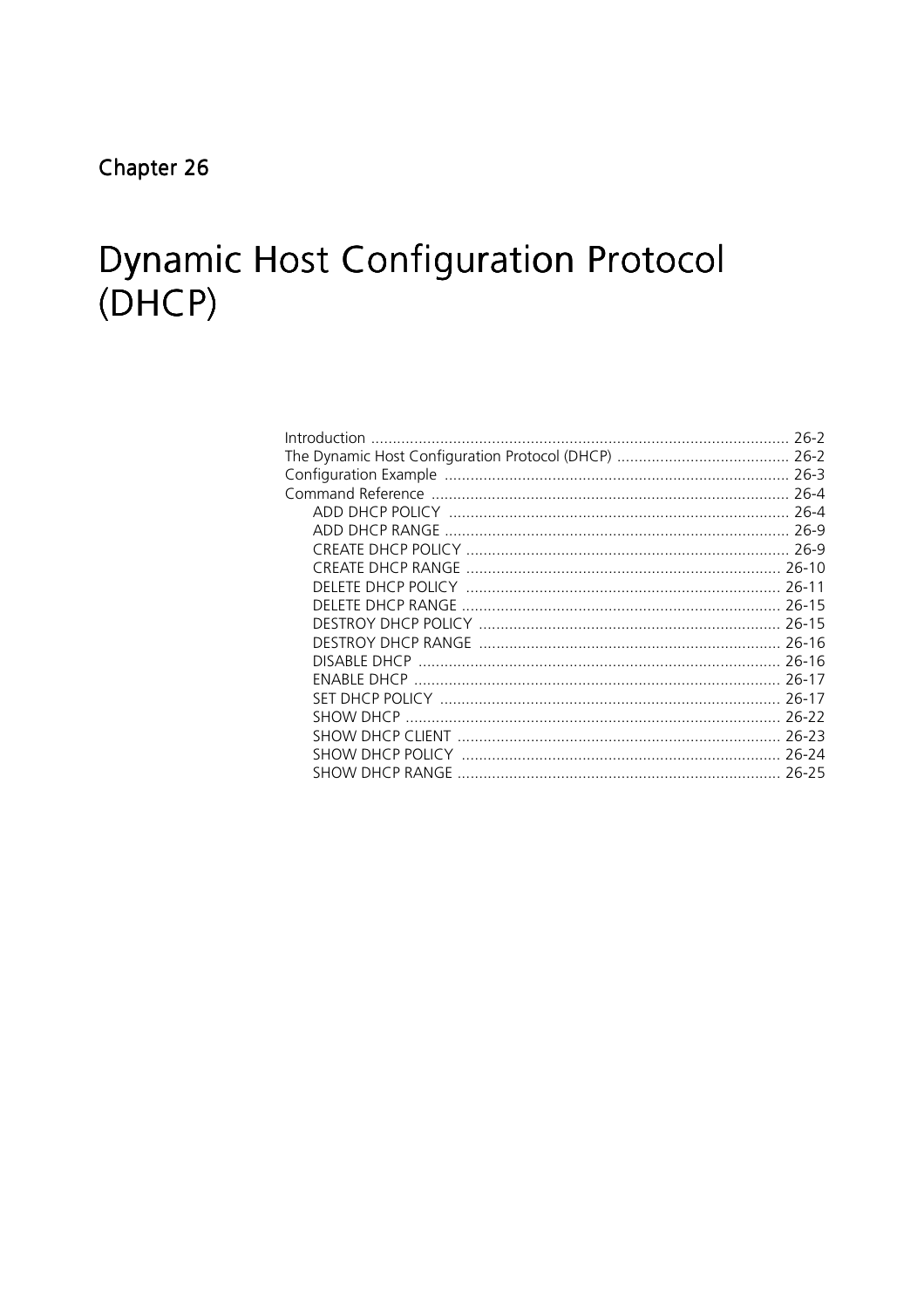# **Dynamic Host Configuration Protocol**  $(DHCP)$

| DISABI E DHCP                                    |         |
|--------------------------------------------------|---------|
|                                                  |         |
|                                                  | $26-17$ |
|                                                  | 26-22   |
|                                                  |         |
| SHOW DHCP POLICY ………………………………………………………………… 26-24 |         |
|                                                  |         |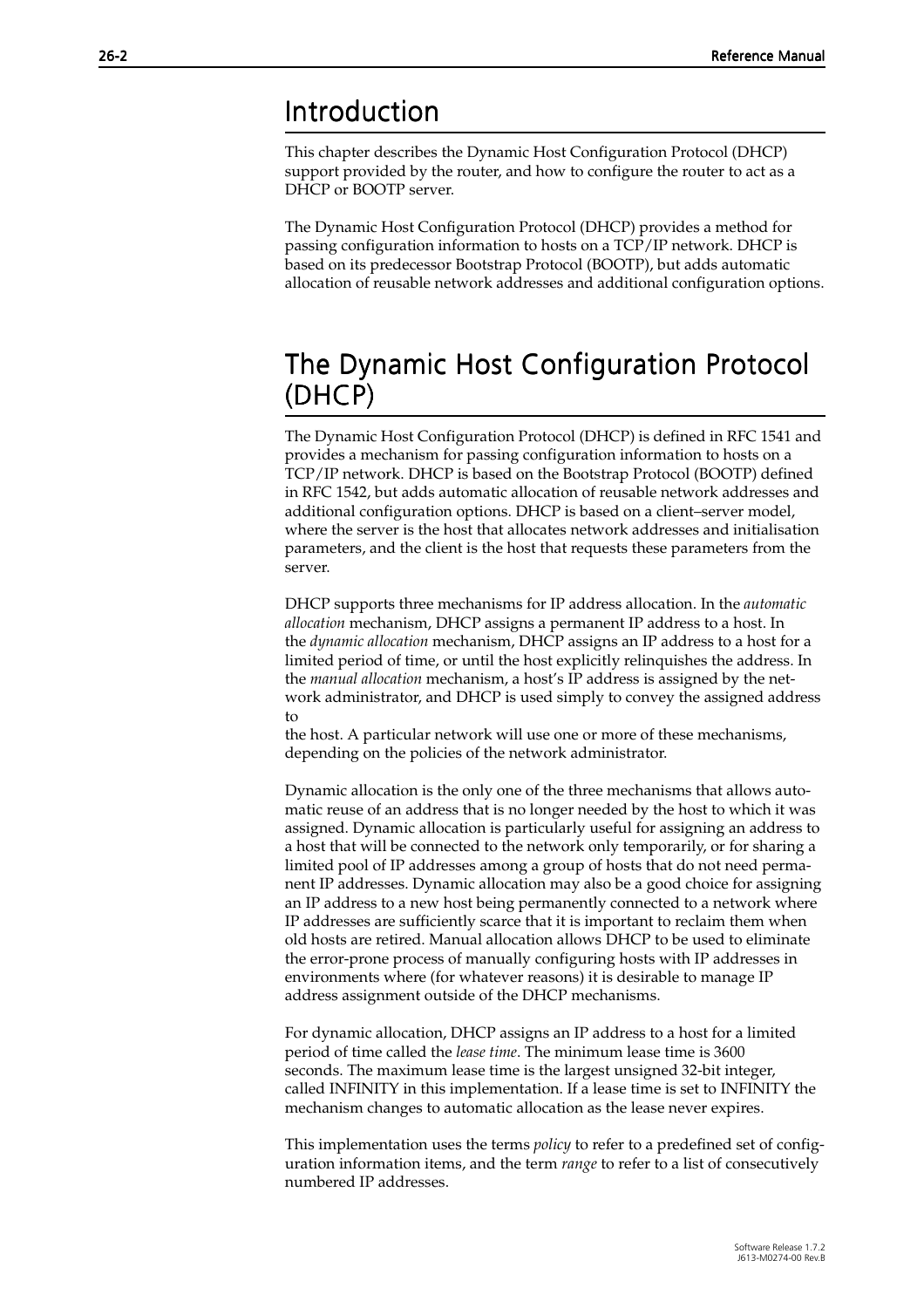### <span id="page-1-0"></span>Introduction

This chapter describes the Dynamic Host Configuration Protocol (DHCP) support provided by the router, and how to configure the router to act as a DHCP or BOOTP server.

The Dynamic Host Configuration Protocol (DHCP) provides a method for passing configuration information to hosts on a TCP/IP network. DHCP is based on its predecessor Bootstrap Protocol (BOOTP), but adds automatic allocation of reusable network addresses and additional configuration options.

### The Dynamic Host Configuration Protocol (DHCP)

The Dynamic Host Configuration Protocol (DHCP) is defined in RFC 1541 and provides a mechanism for passing configuration information to hosts on a TCP/IP network. DHCP is based on the Bootstrap Protocol (BOOTP) defined in RFC 1542, but adds automatic allocation of reusable network addresses and additional configuration options. DHCP is based on a client–server model, where the server is the host that allocates network addresses and initialisation parameters, and the client is the host that requests these parameters from the server.

DHCP supports three mechanisms for IP address allocation. In the *automatic allocation* mechanism, DHCP assigns a permanent IP address to a host. In the *dynamic allocation* mechanism, DHCP assigns an IP address to a host for a limited period of time, or until the host explicitly relinquishes the address. In the *manual allocation* mechanism, a host's IP address is assigned by the network administrator, and DHCP is used simply to convey the assigned address to

the host. A particular network will use one or more of these mechanisms, depending on the policies of the network administrator.

Dynamic allocation is the only one of the three mechanisms that allows automatic reuse of an address that is no longer needed by the host to which it was assigned. Dynamic allocation is particularly useful for assigning an address to a host that will be connected to the network only temporarily, or for sharing a limited pool of IP addresses among a group of hosts that do not need permanent IP addresses. Dynamic allocation may also be a good choice for assigning an IP address to a new host being permanently connected to a network where IP addresses are sufficiently scarce that it is important to reclaim them when old hosts are retired. Manual allocation allows DHCP to be used to eliminate the error-prone process of manually configuring hosts with IP addresses in environments where (for whatever reasons) it is desirable to manage IP address assignment outside of the DHCP mechanisms.

For dynamic allocation, DHCP assigns an IP address to a host for a limited period of time called the *lease time*. The minimum lease time is 3600 seconds. The maximum lease time is the largest unsigned 32-bit integer, called INFINITY in this implementation. If a lease time is set to INFINITY the mechanism changes to automatic allocation as the lease never expires.

This implementation uses the terms *policy* to refer to a predefined set of configuration information items, and the term *range* to refer to a list of consecutively numbered IP addresses.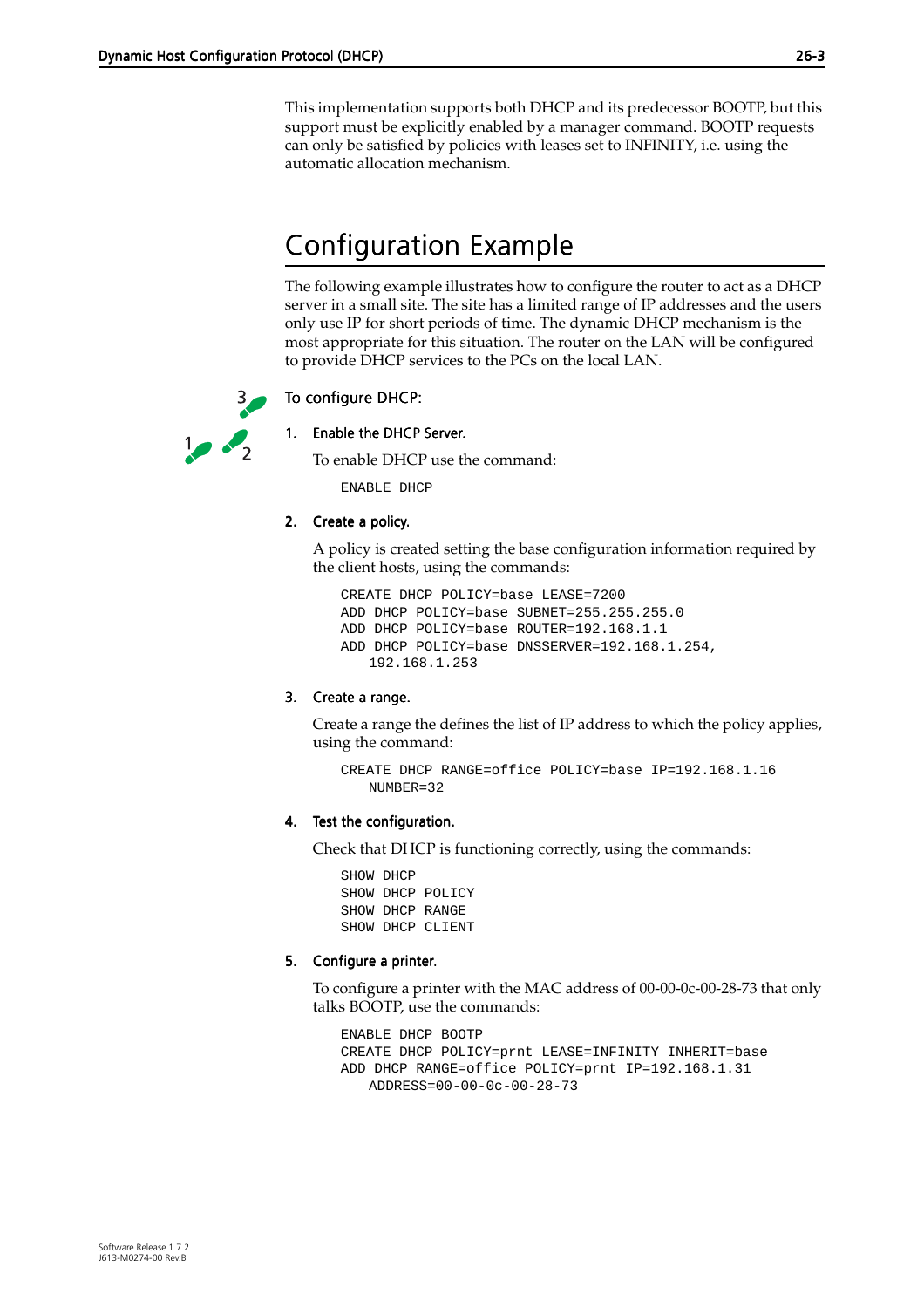<span id="page-2-0"></span>This implementation supports both DHCP and its predecessor BOOTP, but this support must be explicitly enabled by a manager command. BOOTP requests can only be satisfied by policies with leases set to INFINITY, i.e. using the automatic allocation mechanism.

# Configuration Example

The following example illustrates how to configure the router to act as a DHCP server in a small site. The site has a limited range of IP addresses and the users only use IP for short periods of time. The dynamic DHCP mechanism is the most appropriate for this situation. The router on the LAN will be configured to provide DHCP services to the PCs on the local LAN.

### To configure DHCP:



### 1. Enable the DHCP Server.

To enable DHCP use the command:

ENABLE DHCP

### 2. Create a policy.

A policy is created setting the base configuration information required by the client hosts, using the commands:

```
CREATE DHCP POLICY=base LEASE=7200
ADD DHCP POLICY=base SUBNET=255.255.255.0
ADD DHCP POLICY=base ROUTER=192.168.1.1
ADD DHCP POLICY=base DNSSERVER=192.168.1.254, 
   192.168.1.253
```
### 3. Create a range.

Create a range the defines the list of IP address to which the policy applies, using the command:

```
CREATE DHCP RANGE=office POLICY=base IP=192.168.1.16 
   NUMBER=32
```
### 4. Test the configuration.

Check that DHCP is functioning correctly, using the commands:

SHOW DHCP SHOW DHCP POLICY SHOW DHCP RANGE SHOW DHCP CLIENT

### 5. Configure a printer.

To configure a printer with the MAC address of 00-00-0c-00-28-73 that only talks BOOTP, use the commands:

```
ENABLE DHCP BOOTP
CREATE DHCP POLICY=prnt LEASE=INFINITY INHERIT=base
ADD DHCP RANGE=office POLICY=prnt IP=192.168.1.31 
   ADDRESS=00-00-0c-00-28-73
```
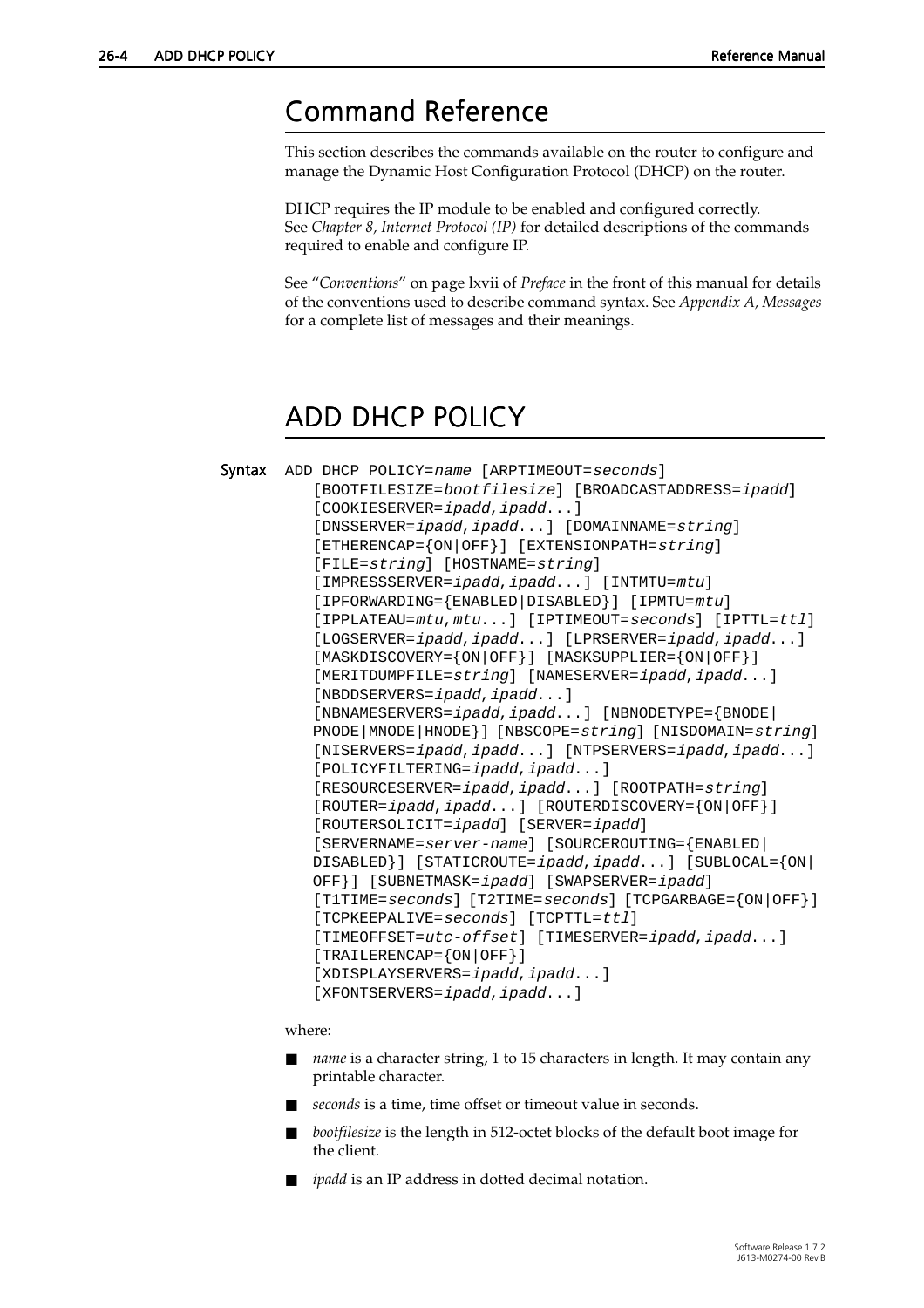### <span id="page-3-0"></span>Command Reference

This section describes the commands available on the router to configure and manage the Dynamic Host Configuration Protocol (DHCP) on the router.

DHCP requires the IP module to be enabled and configured correctly. See *Chapter 8, Internet Protocol (IP)* for detailed descriptions of the commands required to enable and configure IP.

See "*Conventions*" on page lxvii of *Preface* in the front of this manual for details of the conventions used to describe command syntax. See *Appendix A, Messages* for a complete list of messages and their meanings.

# ADD DHCP POLICY

```
Syntax ADD DHCP POLICY=name [ARPTIMEOUT=seconds] 
          [BOOTFILESIZE=bootfilesize] [BROADCASTADDRESS=ipadd] 
          [COOKIESERVER=ipadd,ipadd...]
          [DNSSERVER=ipadd,ipadd...] [DOMAINNAME=string] 
          [ETHERENCAP={ON|OFF}] [EXTENSIONPATH=string] 
          [FILE=string] [HOSTNAME=string] 
          [IMPRESSSERVER=ipadd,ipadd...] [INTMTU=mtu] 
          [IPFORWARDING={ENABLED|DISABLED}] [IPMTU=mtu] 
          [IPPLATEAU=mtu,mtu...] [IPTIMEOUT=seconds] [IPTTL=ttl] 
          [LOGSERVER=ipadd,ipadd...] [LPRSERVER=ipadd,ipadd...]
          [MASKDISCOVERY={ON|OFF}] [MASKSUPPLIER={ON|OFF}] 
          [MERITDUMPFILE=string] [NAMESERVER=ipadd,ipadd...]
          [NBDDSERVERS=ipadd,ipadd...]
          [NBNAMESERVERS=ipadd,ipadd...] [NBNODETYPE={BNODE|
          PNODE|MNODE|HNODE}] [NBSCOPE=string] [NISDOMAIN=string] 
          [NISERVERS=ipadd,ipadd...] [NTPSERVERS=ipadd,ipadd...]
          [POLICYFILTERING=ipadd,ipadd...] 
          [RESOURCESERVER=ipadd,ipadd...] [ROOTPATH=string] 
          [ROUTER=ipadd,ipadd...] [ROUTERDISCOVERY={ON|OFF}] 
          [ROUTERSOLICIT=ipadd] [SERVER=ipadd] 
          [SERVERNAME=server-name] [SOURCEROUTING={ENABLED|
          DISABLED}] [STATICROUTE=ipadd,ipadd...] [SUBLOCAL={ON|
          OFF}] [SUBNETMASK=ipadd] [SWAPSERVER=ipadd]
          [T1TIME=seconds] [T2TIME=seconds] [TCPGARBAGE={ON|OFF}] 
          [TCPKEEPALIVE=seconds] [TCPTTL=ttl] 
          [TIMEOFFSET=utc-offset] [TIMESERVER=ipadd,ipadd...] 
          [TRAILERENCAP={ON|OFF}] 
          [XDISPLAYSERVERS=ipadd, ipadd...]
          [XFONTSERVERS=ipadd, ipadd...]
```
where:

- *name* is a character string, 1 to 15 characters in length. It may contain any printable character.
- seconds is a time, time offset or timeout value in seconds.
- *bootfilesize* is the length in 512-octet blocks of the default boot image for the client.
- *ipadd* is an IP address in dotted decimal notation.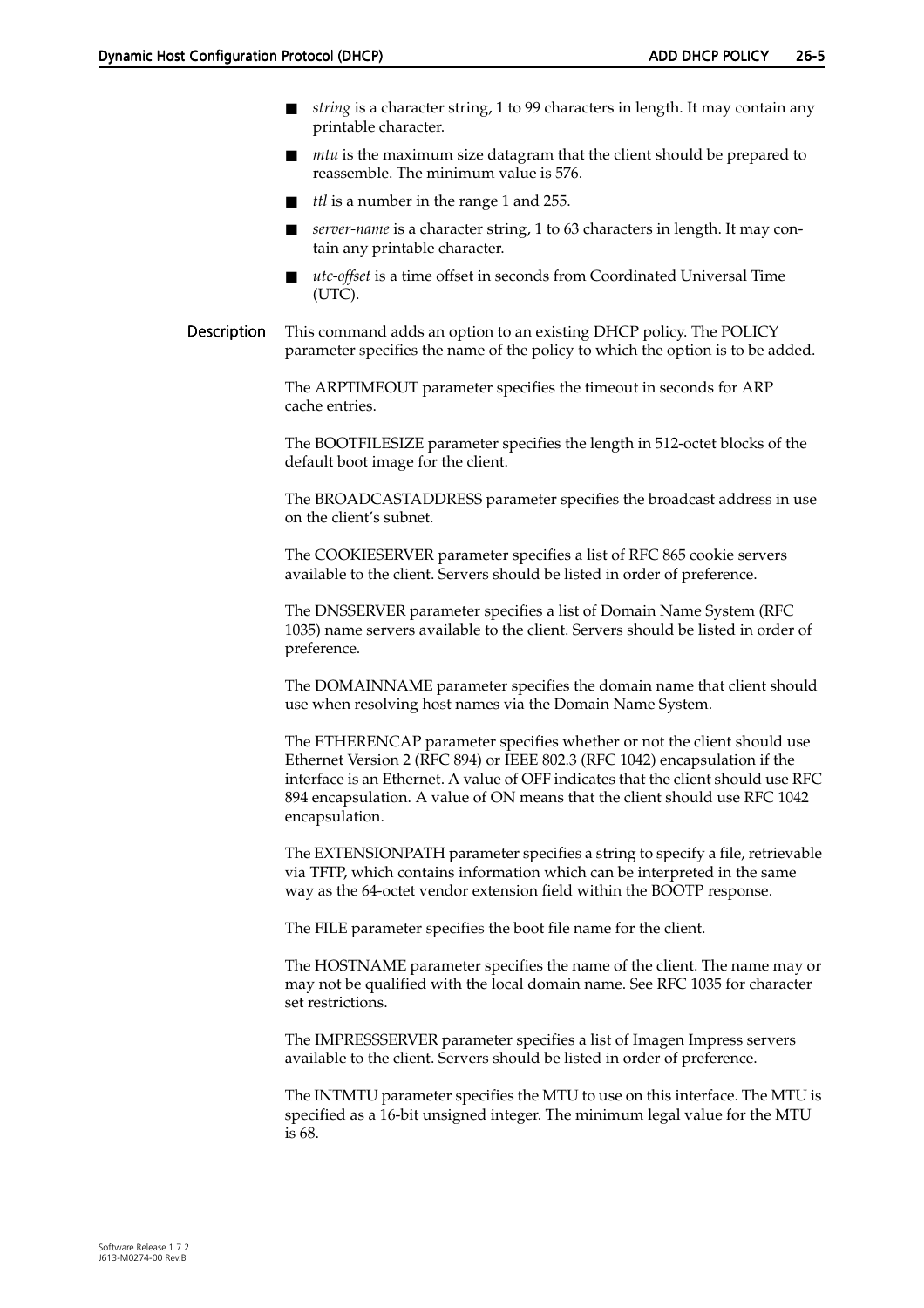- *string* is a character string, 1 to 99 characters in length. It may contain any printable character.
- *mtu* is the maximum size datagram that the client should be prepared to reassemble. The minimum value is 576.
- *ttl* is a number in the range 1 and 255.
- server-name is a character string, 1 to 63 characters in length. It may contain any printable character.
- utc-offset is a time offset in seconds from Coordinated Universal Time (UTC).
- Description This command adds an option to an existing DHCP policy. The POLICY parameter specifies the name of the policy to which the option is to be added.

The ARPTIMEOUT parameter specifies the timeout in seconds for ARP cache entries.

The BOOTFILESIZE parameter specifies the length in 512-octet blocks of the default boot image for the client.

The BROADCASTADDRESS parameter specifies the broadcast address in use on the client's subnet.

The COOKIESERVER parameter specifies a list of RFC 865 cookie servers available to the client. Servers should be listed in order of preference.

The DNSSERVER parameter specifies a list of Domain Name System (RFC 1035) name servers available to the client. Servers should be listed in order of preference.

The DOMAINNAME parameter specifies the domain name that client should use when resolving host names via the Domain Name System.

The ETHERENCAP parameter specifies whether or not the client should use Ethernet Version 2 (RFC 894) or IEEE 802.3 (RFC 1042) encapsulation if the interface is an Ethernet. A value of OFF indicates that the client should use RFC 894 encapsulation. A value of ON means that the client should use RFC 1042 encapsulation.

The EXTENSIONPATH parameter specifies a string to specify a file, retrievable via TFTP, which contains information which can be interpreted in the same way as the 64-octet vendor extension field within the BOOTP response.

The FILE parameter specifies the boot file name for the client.

The HOSTNAME parameter specifies the name of the client. The name may or may not be qualified with the local domain name. See RFC 1035 for character set restrictions.

The IMPRESSSERVER parameter specifies a list of Imagen Impress servers available to the client. Servers should be listed in order of preference.

The INTMTU parameter specifies the MTU to use on this interface. The MTU is specified as a 16-bit unsigned integer. The minimum legal value for the MTU is 68.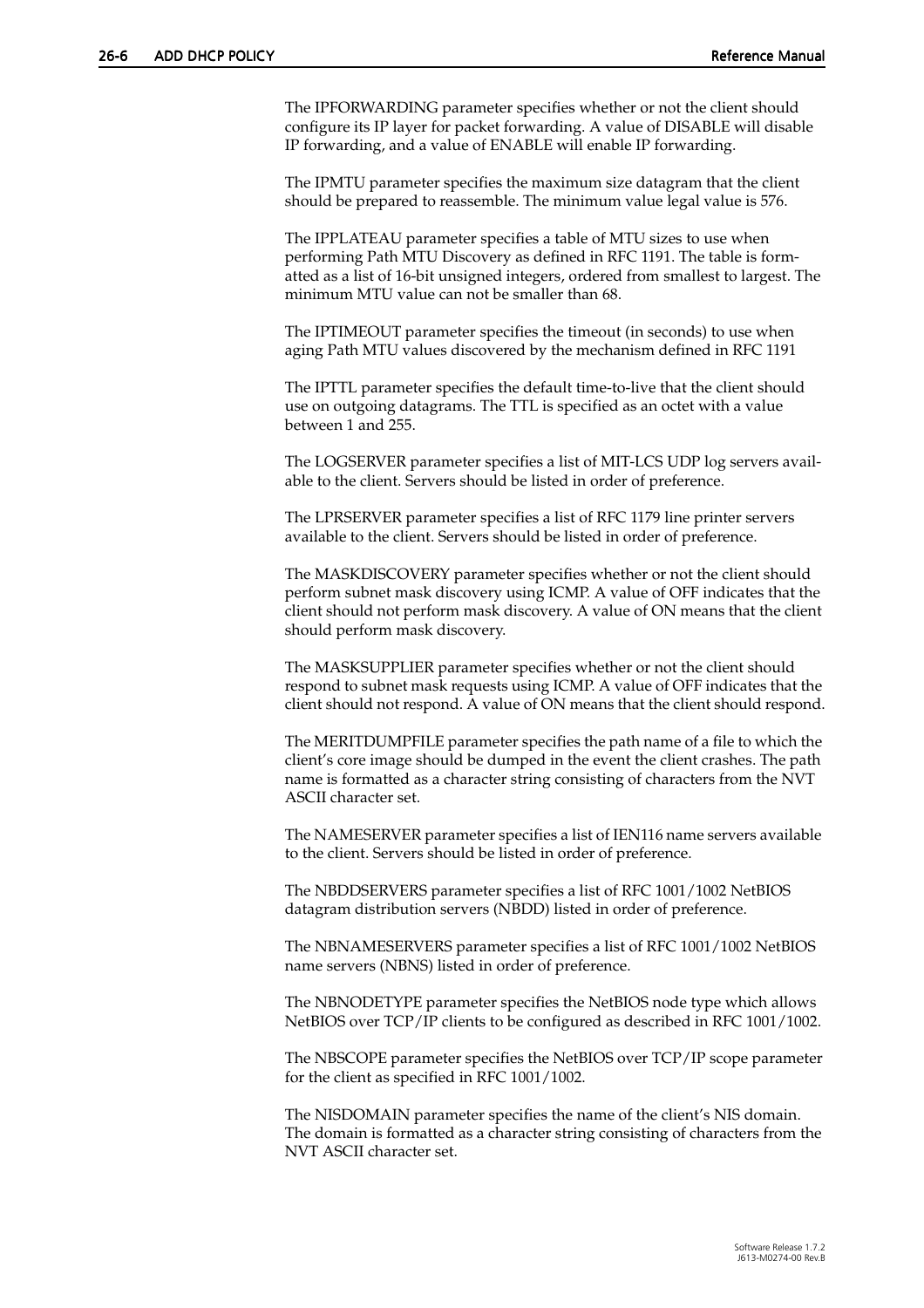The IPFORWARDING parameter specifies whether or not the client should configure its IP layer for packet forwarding. A value of DISABLE will disable IP forwarding, and a value of ENABLE will enable IP forwarding.

The IPMTU parameter specifies the maximum size datagram that the client should be prepared to reassemble. The minimum value legal value is 576.

The IPPLATEAU parameter specifies a table of MTU sizes to use when performing Path MTU Discovery as defined in RFC 1191. The table is formatted as a list of 16-bit unsigned integers, ordered from smallest to largest. The minimum MTU value can not be smaller than 68.

The IPTIMEOUT parameter specifies the timeout (in seconds) to use when aging Path MTU values discovered by the mechanism defined in RFC 1191

The IPTTL parameter specifies the default time-to-live that the client should use on outgoing datagrams. The TTL is specified as an octet with a value between 1 and 255.

The LOGSERVER parameter specifies a list of MIT-LCS UDP log servers available to the client. Servers should be listed in order of preference.

The LPRSERVER parameter specifies a list of RFC 1179 line printer servers available to the client. Servers should be listed in order of preference.

The MASKDISCOVERY parameter specifies whether or not the client should perform subnet mask discovery using ICMP. A value of OFF indicates that the client should not perform mask discovery. A value of ON means that the client should perform mask discovery.

The MASKSUPPLIER parameter specifies whether or not the client should respond to subnet mask requests using ICMP. A value of OFF indicates that the client should not respond. A value of ON means that the client should respond.

The MERITDUMPFILE parameter specifies the path name of a file to which the client's core image should be dumped in the event the client crashes. The path name is formatted as a character string consisting of characters from the NVT ASCII character set.

The NAMESERVER parameter specifies a list of IEN116 name servers available to the client. Servers should be listed in order of preference.

The NBDDSERVERS parameter specifies a list of RFC 1001/1002 NetBIOS datagram distribution servers (NBDD) listed in order of preference.

The NBNAMESERVERS parameter specifies a list of RFC 1001/1002 NetBIOS name servers (NBNS) listed in order of preference.

The NBNODETYPE parameter specifies the NetBIOS node type which allows NetBIOS over TCP/IP clients to be configured as described in RFC 1001/1002.

The NBSCOPE parameter specifies the NetBIOS over TCP/IP scope parameter for the client as specified in RFC 1001/1002.

The NISDOMAIN parameter specifies the name of the client's NIS domain. The domain is formatted as a character string consisting of characters from the NVT ASCII character set.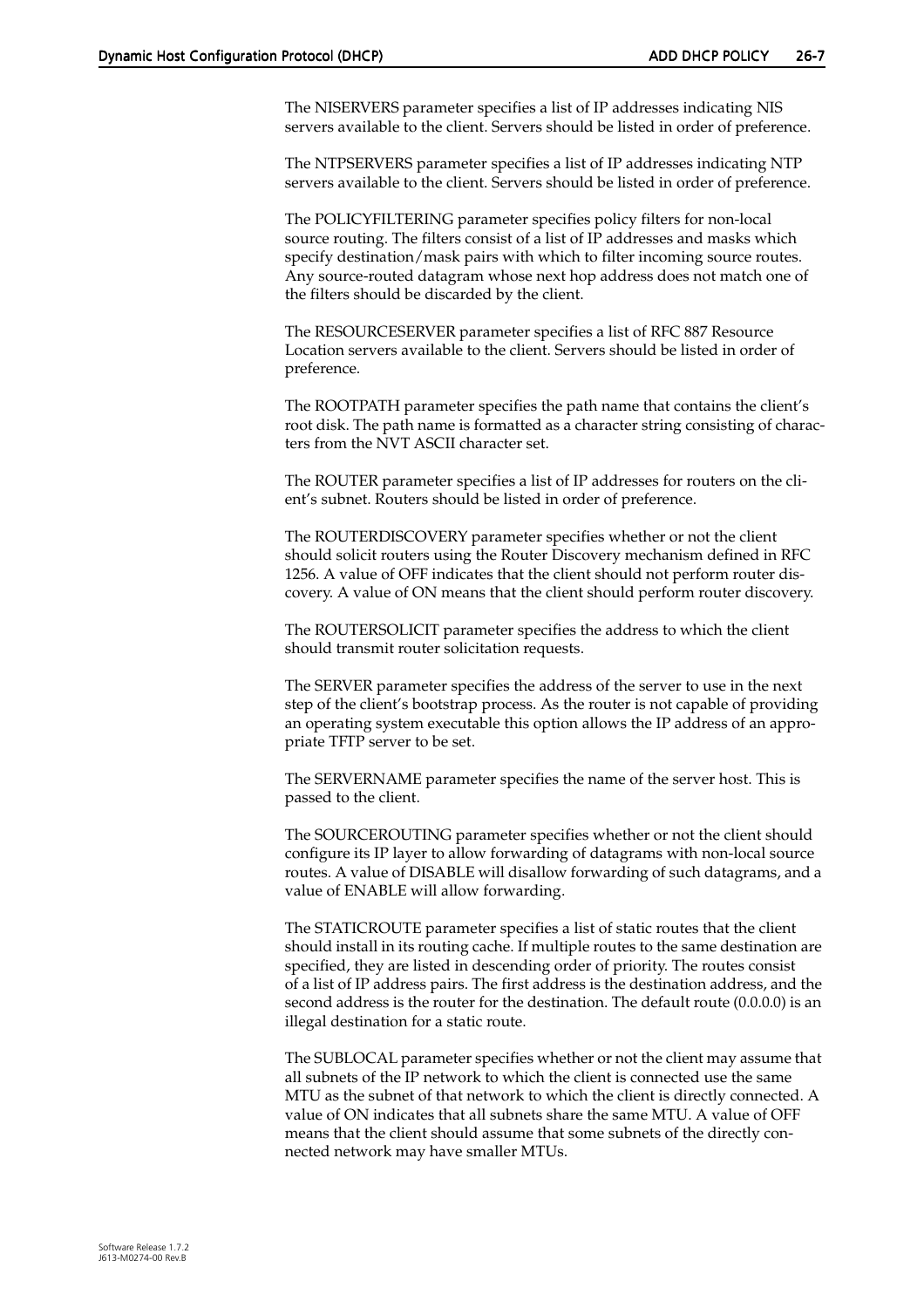The NISERVERS parameter specifies a list of IP addresses indicating NIS servers available to the client. Servers should be listed in order of preference.

The NTPSERVERS parameter specifies a list of IP addresses indicating NTP servers available to the client. Servers should be listed in order of preference.

The POLICYFILTERING parameter specifies policy filters for non-local source routing. The filters consist of a list of IP addresses and masks which specify destination/mask pairs with which to filter incoming source routes. Any source-routed datagram whose next hop address does not match one of the filters should be discarded by the client.

The RESOURCESERVER parameter specifies a list of RFC 887 Resource Location servers available to the client. Servers should be listed in order of preference.

The ROOTPATH parameter specifies the path name that contains the client's root disk. The path name is formatted as a character string consisting of characters from the NVT ASCII character set.

The ROUTER parameter specifies a list of IP addresses for routers on the client's subnet. Routers should be listed in order of preference.

The ROUTERDISCOVERY parameter specifies whether or not the client should solicit routers using the Router Discovery mechanism defined in RFC 1256. A value of OFF indicates that the client should not perform router discovery. A value of ON means that the client should perform router discovery.

The ROUTERSOLICIT parameter specifies the address to which the client should transmit router solicitation requests.

The SERVER parameter specifies the address of the server to use in the next step of the client's bootstrap process. As the router is not capable of providing an operating system executable this option allows the IP address of an appropriate TFTP server to be set.

The SERVERNAME parameter specifies the name of the server host. This is passed to the client.

The SOURCEROUTING parameter specifies whether or not the client should configure its IP layer to allow forwarding of datagrams with non-local source routes. A value of DISABLE will disallow forwarding of such datagrams, and a value of ENABLE will allow forwarding.

The STATICROUTE parameter specifies a list of static routes that the client should install in its routing cache. If multiple routes to the same destination are specified, they are listed in descending order of priority. The routes consist of a list of IP address pairs. The first address is the destination address, and the second address is the router for the destination. The default route (0.0.0.0) is an illegal destination for a static route.

The SUBLOCAL parameter specifies whether or not the client may assume that all subnets of the IP network to which the client is connected use the same MTU as the subnet of that network to which the client is directly connected. A value of ON indicates that all subnets share the same MTU. A value of OFF means that the client should assume that some subnets of the directly connected network may have smaller MTUs.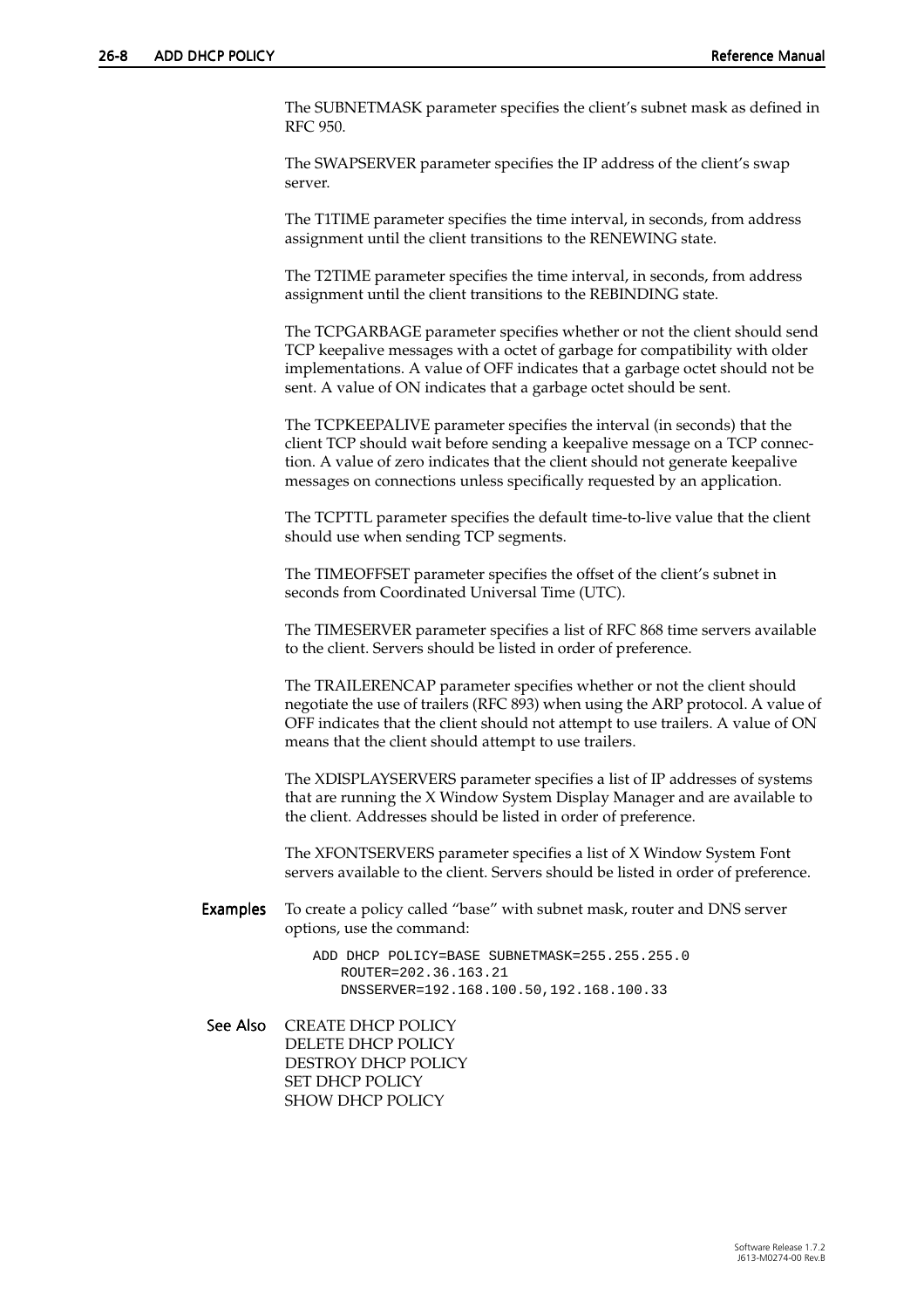The SUBNETMASK parameter specifies the client's subnet mask as defined in RFC 950.

The SWAPSERVER parameter specifies the IP address of the client's swap server.

The T1TIME parameter specifies the time interval, in seconds, from address assignment until the client transitions to the RENEWING state.

The T2TIME parameter specifies the time interval, in seconds, from address assignment until the client transitions to the REBINDING state.

The TCPGARBAGE parameter specifies whether or not the client should send TCP keepalive messages with a octet of garbage for compatibility with older implementations. A value of OFF indicates that a garbage octet should not be sent. A value of ON indicates that a garbage octet should be sent.

The TCPKEEPALIVE parameter specifies the interval (in seconds) that the client TCP should wait before sending a keepalive message on a TCP connection. A value of zero indicates that the client should not generate keepalive messages on connections unless specifically requested by an application.

The TCPTTL parameter specifies the default time-to-live value that the client should use when sending TCP segments.

The TIMEOFFSET parameter specifies the offset of the client's subnet in seconds from Coordinated Universal Time (UTC).

The TIMESERVER parameter specifies a list of RFC 868 time servers available to the client. Servers should be listed in order of preference.

The TRAILERENCAP parameter specifies whether or not the client should negotiate the use of trailers (RFC 893) when using the ARP protocol. A value of OFF indicates that the client should not attempt to use trailers. A value of ON means that the client should attempt to use trailers.

The XDISPLAYSERVERS parameter specifies a list of IP addresses of systems that are running the X Window System Display Manager and are available to the client. Addresses should be listed in order of preference.

The XFONTSERVERS parameter specifies a list of X Window System Font servers available to the client. Servers should be listed in order of preference.

Examples To create a policy called "base" with subnet mask, router and DNS server options, use the command:

> ADD DHCP POLICY=BASE SUBNETMASK=255.255.255.0 ROUTER=202.36.163.21 DNSSERVER=192.168.100.50,192.168.100.33

See Also CREATE DHCP POLICY DELETE DHCP POLICY DESTROY DHCP POLICY SET DHCP POLICY SHOW DHCP POLICY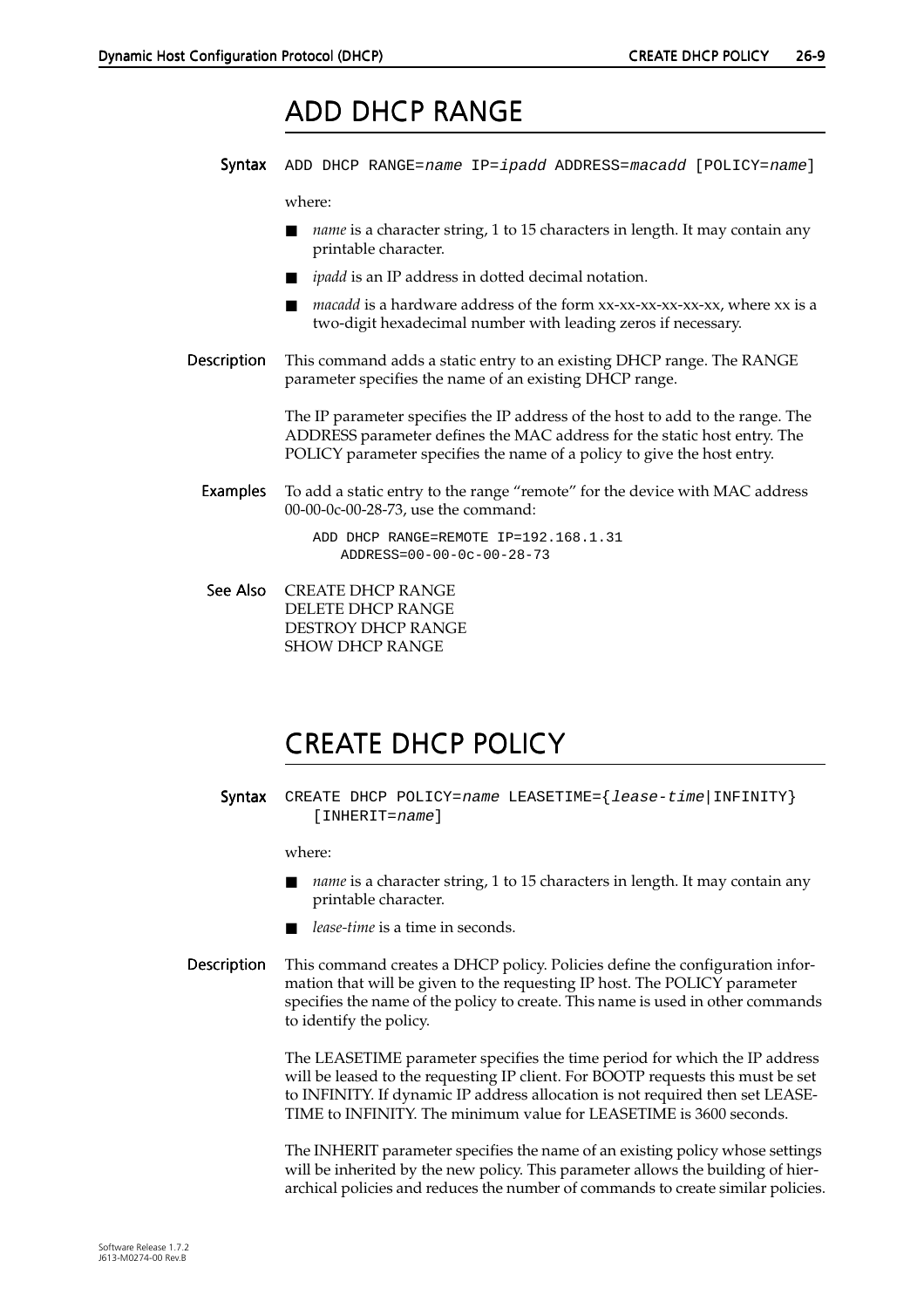### ADD DHCP ADD DHCP RANGE

<span id="page-8-0"></span>Syntax ADD DHCP RANGE=name IP=ipadd ADDRESS=macadd [POLICY=name]

where:

- *name* is a character string, 1 to 15 characters in length. It may contain any printable character.
- *ipadd* is an IP address in dotted decimal notation.
- *macadd* is a hardware address of the form xx-xx-xx-xx-xx-xx, where xx is a two-digit hexadecimal number with leading zeros if necessary.
- Description This command adds a static entry to an existing DHCP range. The RANGE parameter specifies the name of an existing DHCP range.

The IP parameter specifies the IP address of the host to add to the range. The ADDRESS parameter defines the MAC address for the static host entry. The POLICY parameter specifies the name of a policy to give the host entry.

Examples To add a static entry to the range "remote" for the device with MAC address 00-00-0c-00-28-73, use the command:

> ADD DHCP RANGE=REMOTE IP=192.168.1.31 ADDRESS=00-00-0c-00-28-73

See Also CREATE DHCP RANGE DELETE DHCP RANGE DESTROY DHCP RANGE SHOW DHCP RANGE

# CREATE DHCP POLICY

Syntax CREATE DHCP POLICY=name LEASETIME={lease-time|INFINITY} [INHERIT=name]

where:

- *name* is a character string, 1 to 15 characters in length. It may contain any printable character.
- *lease-time* is a time in seconds.
- Description This command creates a DHCP policy. Policies define the configuration information that will be given to the requesting IP host. The POLICY parameter specifies the name of the policy to create. This name is used in other commands to identify the policy.

The LEASETIME parameter specifies the time period for which the IP address will be leased to the requesting IP client. For BOOTP requests this must be set to INFINITY. If dynamic IP address allocation is not required then set LEASE-TIME to INFINITY. The minimum value for LEASETIME is 3600 seconds.

The INHERIT parameter specifies the name of an existing policy whose settings will be inherited by the new policy. This parameter allows the building of hierarchical policies and reduces the number of commands to create similar policies.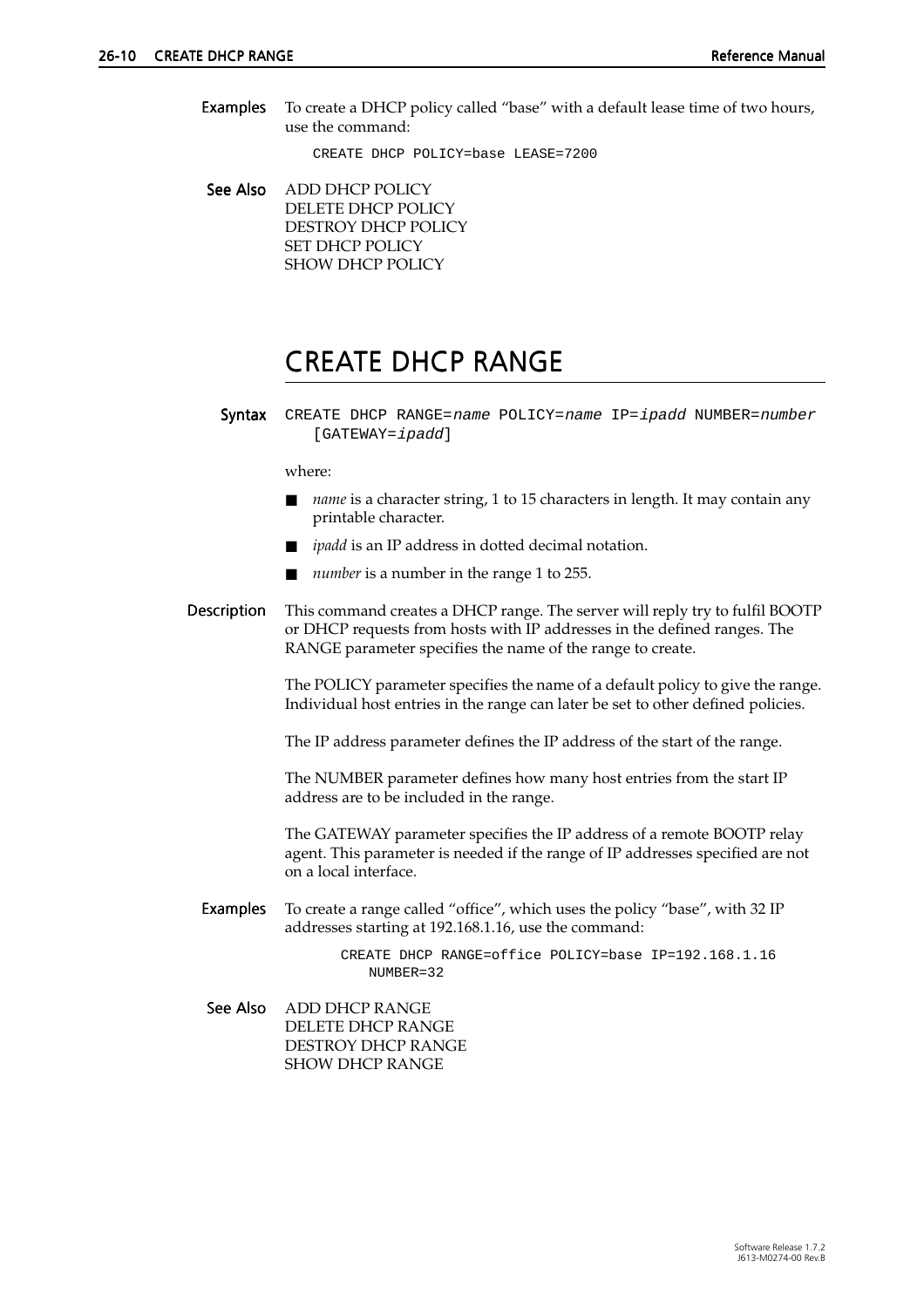<span id="page-9-0"></span>Examples To create a DHCP policy called "base" with a default lease time of two hours, use the command:

CREATE DHCP POLICY=base LEASE=7200

See Also ADD DHCP POLICY DELETE DHCP POLICY DESTROY DHCP POLICY SET DHCP POLICY SHOW DHCP POLICY

### CREATE DHCP RANGE

Syntax CREATE DHCP RANGE=name POLICY=name IP=ipadd NUMBER=number [GATEWAY=ipadd]

#### where:

- *name* is a character string, 1 to 15 characters in length. It may contain any printable character.
- *ipadd* is an IP address in dotted decimal notation.
- *number* is a number in the range 1 to 255.
- Description This command creates a DHCP range. The server will reply try to fulfil BOOTP or DHCP requests from hosts with IP addresses in the defined ranges. The RANGE parameter specifies the name of the range to create.

The POLICY parameter specifies the name of a default policy to give the range. Individual host entries in the range can later be set to other defined policies.

The IP address parameter defines the IP address of the start of the range.

The NUMBER parameter defines how many host entries from the start IP address are to be included in the range.

The GATEWAY parameter specifies the IP address of a remote BOOTP relay agent. This parameter is needed if the range of IP addresses specified are not on a local interface.

Examples To create a range called "office", which uses the policy "base", with 32 IP addresses starting at 192.168.1.16, use the command:

> CREATE DHCP RANGE=office POLICY=base IP=192.168.1.16 NUMBER=32

See Also ADD DHCP RANGE DELETE DHCP RANGE DESTROY DHCP RANGE SHOW DHCP RANGE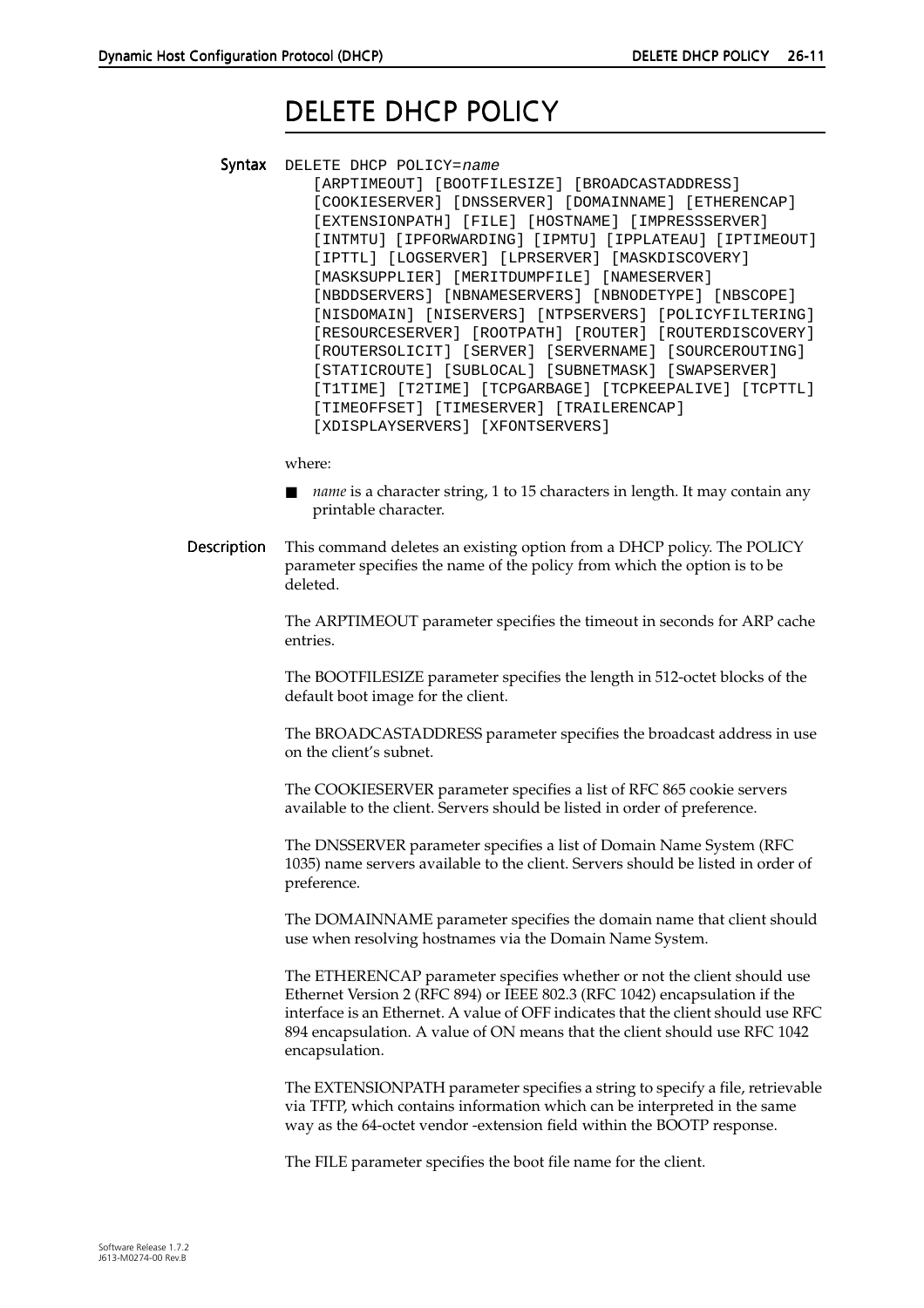# DELETE DHCP POLICY

<span id="page-10-0"></span>Syntax DELETE DHCP POLICY=name [ARPTIMEOUT] [BOOTFILESIZE] [BROADCASTADDRESS] [COOKIESERVER] [DNSSERVER] [DOMAINNAME] [ETHERENCAP] [EXTENSIONPATH] [FILE] [HOSTNAME] [IMPRESSSERVER] [INTMTU] [IPFORWARDING] [IPMTU] [IPPLATEAU] [IPTIMEOUT] [IPTTL] [LOGSERVER] [LPRSERVER] [MASKDISCOVERY] [MASKSUPPLIER] [MERITDUMPFILE] [NAMESERVER] [NBDDSERVERS] [NBNAMESERVERS] [NBNODETYPE] [NBSCOPE] [NISDOMAIN] [NISERVERS] [NTPSERVERS] [POLICYFILTERING] [RESOURCESERVER] [ROOTPATH] [ROUTER] [ROUTERDISCOVERY] [ROUTERSOLICIT] [SERVER] [SERVERNAME] [SOURCEROUTING] [STATICROUTE] [SUBLOCAL] [SUBNETMASK] [SWAPSERVER] [T1TIME] [T2TIME] [TCPGARBAGE] [TCPKEEPALIVE] [TCPTTL] [TIMEOFFSET] [TIMESERVER] [TRAILERENCAP] [XDISPLAYSERVERS] [XFONTSERVERS]

where:

- *name* is a character string, 1 to 15 characters in length. It may contain any printable character.
- Description This command deletes an existing option from a DHCP policy. The POLICY parameter specifies the name of the policy from which the option is to be deleted.

The ARPTIMEOUT parameter specifies the timeout in seconds for ARP cache entries.

The BOOTFILESIZE parameter specifies the length in 512-octet blocks of the default boot image for the client.

The BROADCASTADDRESS parameter specifies the broadcast address in use on the client's subnet.

The COOKIESERVER parameter specifies a list of RFC 865 cookie servers available to the client. Servers should be listed in order of preference.

The DNSSERVER parameter specifies a list of Domain Name System (RFC 1035) name servers available to the client. Servers should be listed in order of preference.

The DOMAINNAME parameter specifies the domain name that client should use when resolving hostnames via the Domain Name System.

The ETHERENCAP parameter specifies whether or not the client should use Ethernet Version 2 (RFC 894) or IEEE 802.3 (RFC 1042) encapsulation if the interface is an Ethernet. A value of OFF indicates that the client should use RFC 894 encapsulation. A value of ON means that the client should use RFC 1042 encapsulation.

The EXTENSIONPATH parameter specifies a string to specify a file, retrievable via TFTP, which contains information which can be interpreted in the same way as the 64-octet vendor -extension field within the BOOTP response.

The FILE parameter specifies the boot file name for the client.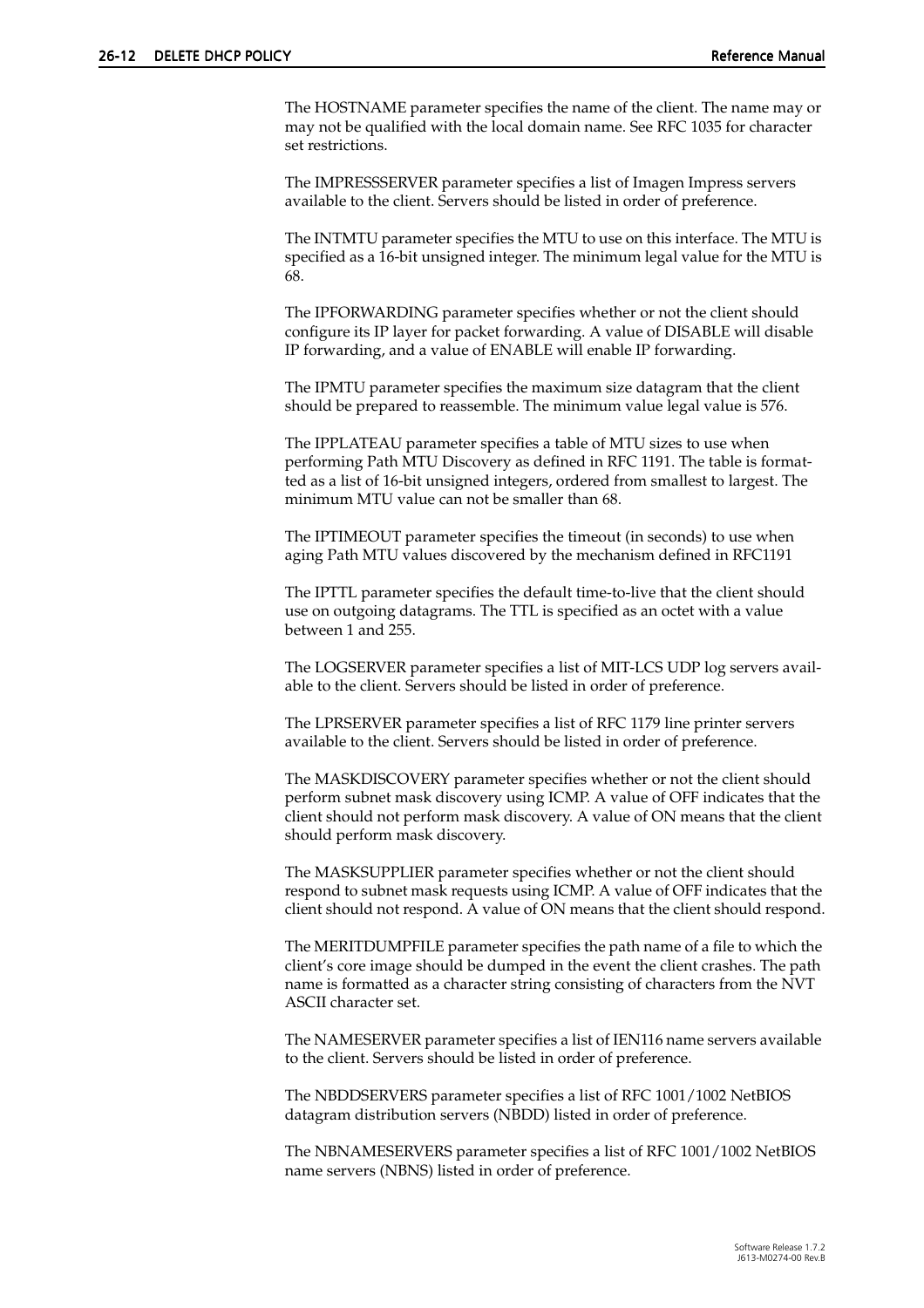The HOSTNAME parameter specifies the name of the client. The name may or may not be qualified with the local domain name. See RFC 1035 for character set restrictions.

The IMPRESSSERVER parameter specifies a list of Imagen Impress servers available to the client. Servers should be listed in order of preference.

The INTMTU parameter specifies the MTU to use on this interface. The MTU is specified as a 16-bit unsigned integer. The minimum legal value for the MTU is 68.

The IPFORWARDING parameter specifies whether or not the client should configure its IP layer for packet forwarding. A value of DISABLE will disable IP forwarding, and a value of ENABLE will enable IP forwarding.

The IPMTU parameter specifies the maximum size datagram that the client should be prepared to reassemble. The minimum value legal value is 576.

The IPPLATEAU parameter specifies a table of MTU sizes to use when performing Path MTU Discovery as defined in RFC 1191. The table is formatted as a list of 16-bit unsigned integers, ordered from smallest to largest. The minimum MTU value can not be smaller than 68.

The IPTIMEOUT parameter specifies the timeout (in seconds) to use when aging Path MTU values discovered by the mechanism defined in RFC1191

The IPTTL parameter specifies the default time-to-live that the client should use on outgoing datagrams. The TTL is specified as an octet with a value between 1 and 255.

The LOGSERVER parameter specifies a list of MIT-LCS UDP log servers available to the client. Servers should be listed in order of preference.

The LPRSERVER parameter specifies a list of RFC 1179 line printer servers available to the client. Servers should be listed in order of preference.

The MASKDISCOVERY parameter specifies whether or not the client should perform subnet mask discovery using ICMP. A value of OFF indicates that the client should not perform mask discovery. A value of ON means that the client should perform mask discovery.

The MASKSUPPLIER parameter specifies whether or not the client should respond to subnet mask requests using ICMP. A value of OFF indicates that the client should not respond. A value of ON means that the client should respond.

The MERITDUMPFILE parameter specifies the path name of a file to which the client's core image should be dumped in the event the client crashes. The path name is formatted as a character string consisting of characters from the NVT ASCII character set.

The NAMESERVER parameter specifies a list of IEN116 name servers available to the client. Servers should be listed in order of preference.

The NBDDSERVERS parameter specifies a list of RFC 1001/1002 NetBIOS datagram distribution servers (NBDD) listed in order of preference.

The NBNAMESERVERS parameter specifies a list of RFC 1001/1002 NetBIOS name servers (NBNS) listed in order of preference.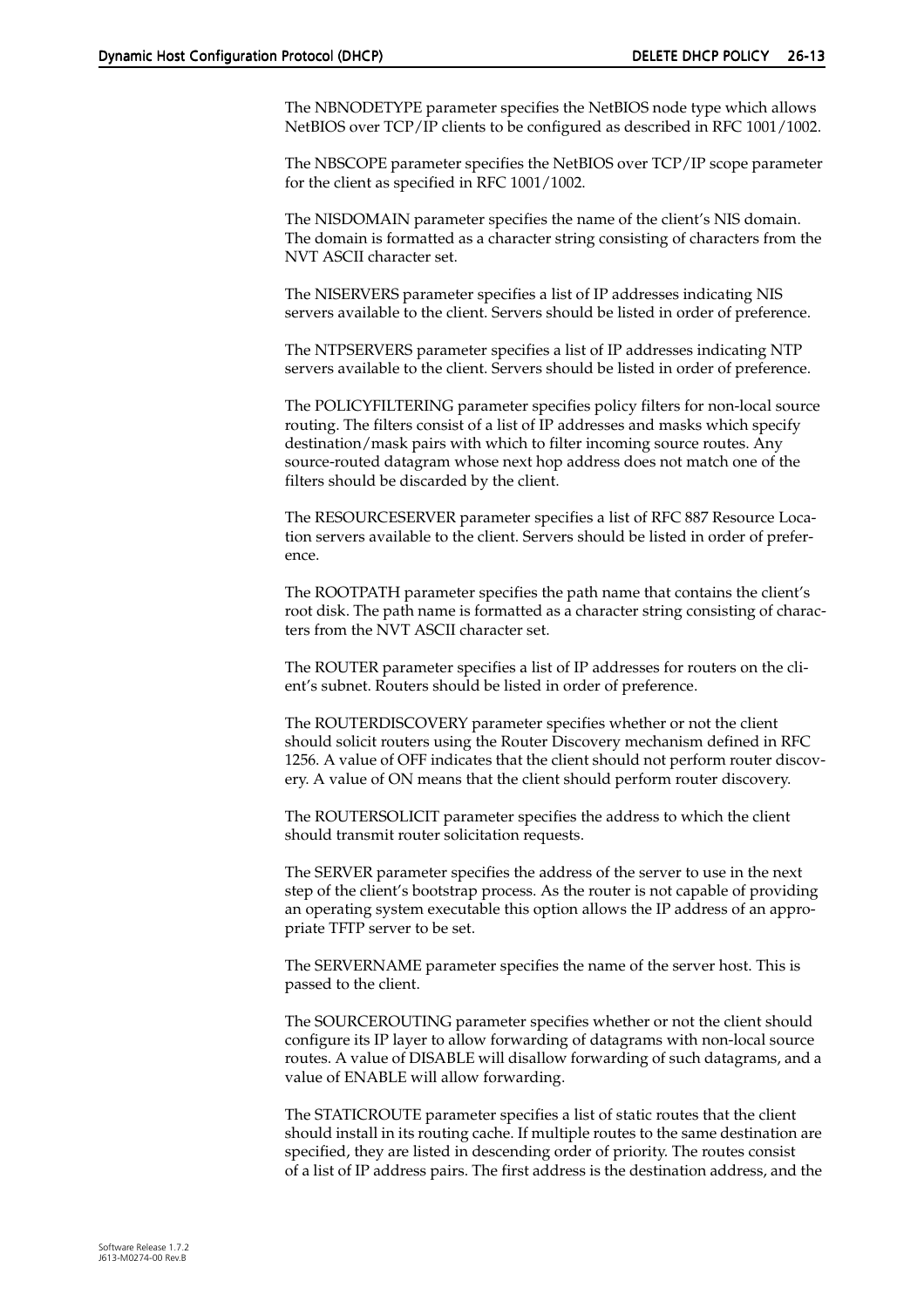The NBNODETYPE parameter specifies the NetBIOS node type which allows NetBIOS over TCP/IP clients to be configured as described in RFC 1001/1002.

The NBSCOPE parameter specifies the NetBIOS over TCP/IP scope parameter for the client as specified in RFC 1001/1002.

The NISDOMAIN parameter specifies the name of the client's NIS domain. The domain is formatted as a character string consisting of characters from the NVT ASCII character set.

The NISERVERS parameter specifies a list of IP addresses indicating NIS servers available to the client. Servers should be listed in order of preference.

The NTPSERVERS parameter specifies a list of IP addresses indicating NTP servers available to the client. Servers should be listed in order of preference.

The POLICYFILTERING parameter specifies policy filters for non-local source routing. The filters consist of a list of IP addresses and masks which specify destination/mask pairs with which to filter incoming source routes. Any source-routed datagram whose next hop address does not match one of the filters should be discarded by the client.

The RESOURCESERVER parameter specifies a list of RFC 887 Resource Location servers available to the client. Servers should be listed in order of preference.

The ROOTPATH parameter specifies the path name that contains the client's root disk. The path name is formatted as a character string consisting of characters from the NVT ASCII character set.

The ROUTER parameter specifies a list of IP addresses for routers on the client's subnet. Routers should be listed in order of preference.

The ROUTERDISCOVERY parameter specifies whether or not the client should solicit routers using the Router Discovery mechanism defined in RFC 1256. A value of OFF indicates that the client should not perform router discovery. A value of ON means that the client should perform router discovery.

The ROUTERSOLICIT parameter specifies the address to which the client should transmit router solicitation requests.

The SERVER parameter specifies the address of the server to use in the next step of the client's bootstrap process. As the router is not capable of providing an operating system executable this option allows the IP address of an appropriate TFTP server to be set.

The SERVERNAME parameter specifies the name of the server host. This is passed to the client.

The SOURCEROUTING parameter specifies whether or not the client should configure its IP layer to allow forwarding of datagrams with non-local source routes. A value of DISABLE will disallow forwarding of such datagrams, and a value of ENABLE will allow forwarding.

The STATICROUTE parameter specifies a list of static routes that the client should install in its routing cache. If multiple routes to the same destination are specified, they are listed in descending order of priority. The routes consist of a list of IP address pairs. The first address is the destination address, and the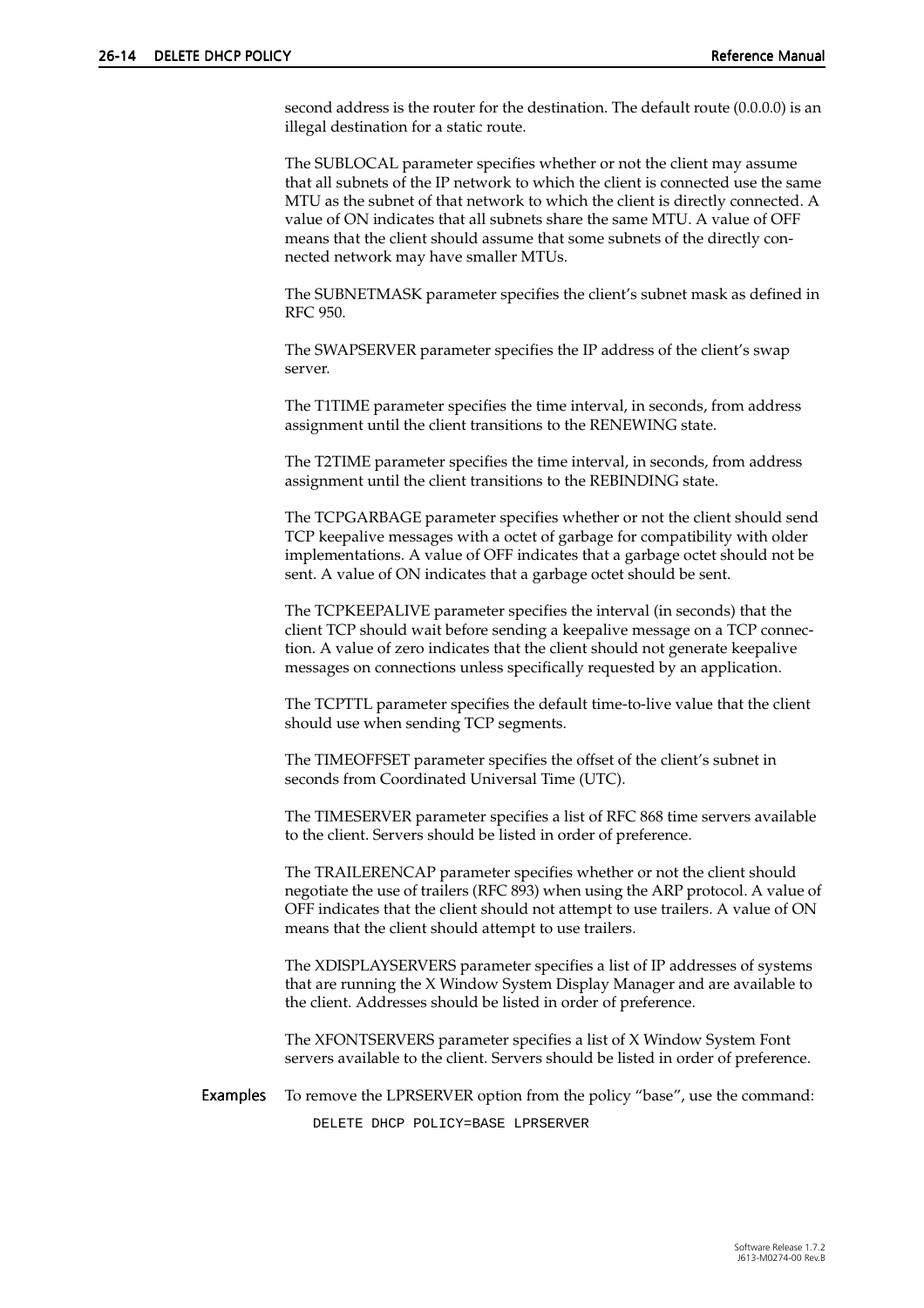second address is the router for the destination. The default route (0.0.0.0) is an illegal destination for a static route.

The SUBLOCAL parameter specifies whether or not the client may assume that all subnets of the IP network to which the client is connected use the same MTU as the subnet of that network to which the client is directly connected. A value of ON indicates that all subnets share the same MTU. A value of OFF means that the client should assume that some subnets of the directly connected network may have smaller MTUs.

The SUBNETMASK parameter specifies the client's subnet mask as defined in RFC 950.

The SWAPSERVER parameter specifies the IP address of the client's swap server.

The T1TIME parameter specifies the time interval, in seconds, from address assignment until the client transitions to the RENEWING state.

The T2TIME parameter specifies the time interval, in seconds, from address assignment until the client transitions to the REBINDING state.

The TCPGARBAGE parameter specifies whether or not the client should send TCP keepalive messages with a octet of garbage for compatibility with older implementations. A value of OFF indicates that a garbage octet should not be sent. A value of ON indicates that a garbage octet should be sent.

The TCPKEEPALIVE parameter specifies the interval (in seconds) that the client TCP should wait before sending a keepalive message on a TCP connection. A value of zero indicates that the client should not generate keepalive messages on connections unless specifically requested by an application.

The TCPTTL parameter specifies the default time-to-live value that the client should use when sending TCP segments.

The TIMEOFFSET parameter specifies the offset of the client's subnet in seconds from Coordinated Universal Time (UTC).

The TIMESERVER parameter specifies a list of RFC 868 time servers available to the client. Servers should be listed in order of preference.

The TRAILERENCAP parameter specifies whether or not the client should negotiate the use of trailers (RFC 893) when using the ARP protocol. A value of OFF indicates that the client should not attempt to use trailers. A value of ON means that the client should attempt to use trailers.

The XDISPLAYSERVERS parameter specifies a list of IP addresses of systems that are running the X Window System Display Manager and are available to the client. Addresses should be listed in order of preference.

The XFONTSERVERS parameter specifies a list of X Window System Font servers available to the client. Servers should be listed in order of preference.

Examples To remove the LPRSERVER option from the policy "base", use the command: DELETE DHCP POLICY=BASE LPRSERVER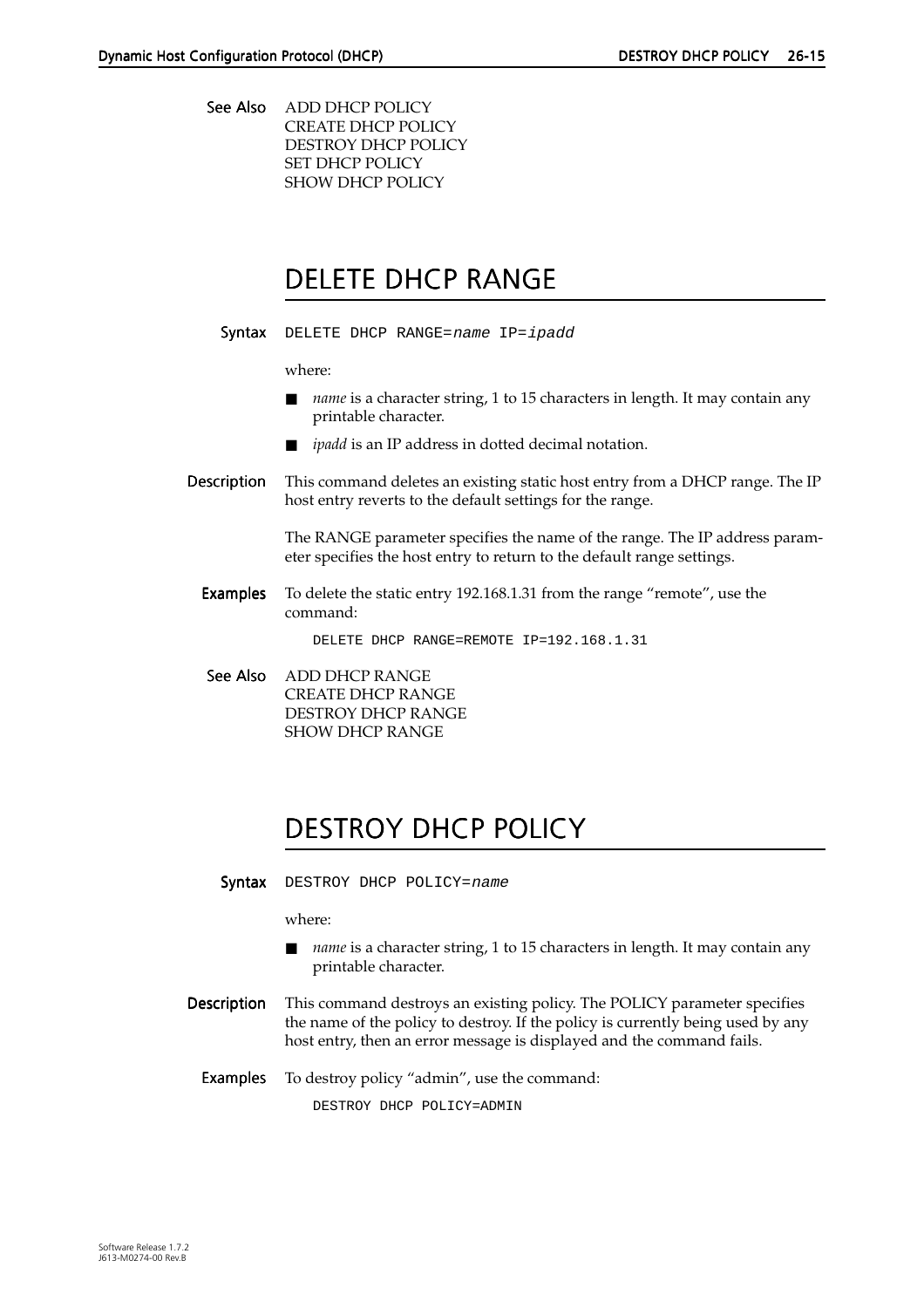<span id="page-14-0"></span>See Also ADD DHCP POLICY CREATE DHCP POLICY DESTROY DHCP POLICY SET DHCP POLICY SHOW DHCP POLICY

### DELETE DHCP RANGE

Syntax DELETE DHCP RANGE=name IP=ipadd

where:

- *name* is a character string, 1 to 15 characters in length. It may contain any printable character.
- *ipadd* is an IP address in dotted decimal notation.
- Description This command deletes an existing static host entry from a DHCP range. The IP host entry reverts to the default settings for the range.

The RANGE parameter specifies the name of the range. The IP address parameter specifies the host entry to return to the default range settings.

Examples To delete the static entry 192.168.1.31 from the range "remote", use the command:

DELETE DHCP RANGE=REMOTE IP=192.168.1.31

See Also ADD DHCP RANGE CREATE DHCP RANGE DESTROY DHCP RANGE SHOW DHCP RANGE

# DESTROY DHCP POLICY

Syntax DESTROY DHCP POLICY=name

where:

- *name* is a character string, 1 to 15 characters in length. It may contain any printable character.
- Description This command destroys an existing policy. The POLICY parameter specifies the name of the policy to destroy. If the policy is currently being used by any host entry, then an error message is displayed and the command fails.

Examples To destroy policy "admin", use the command:

DESTROY DHCP POLICY=ADMIN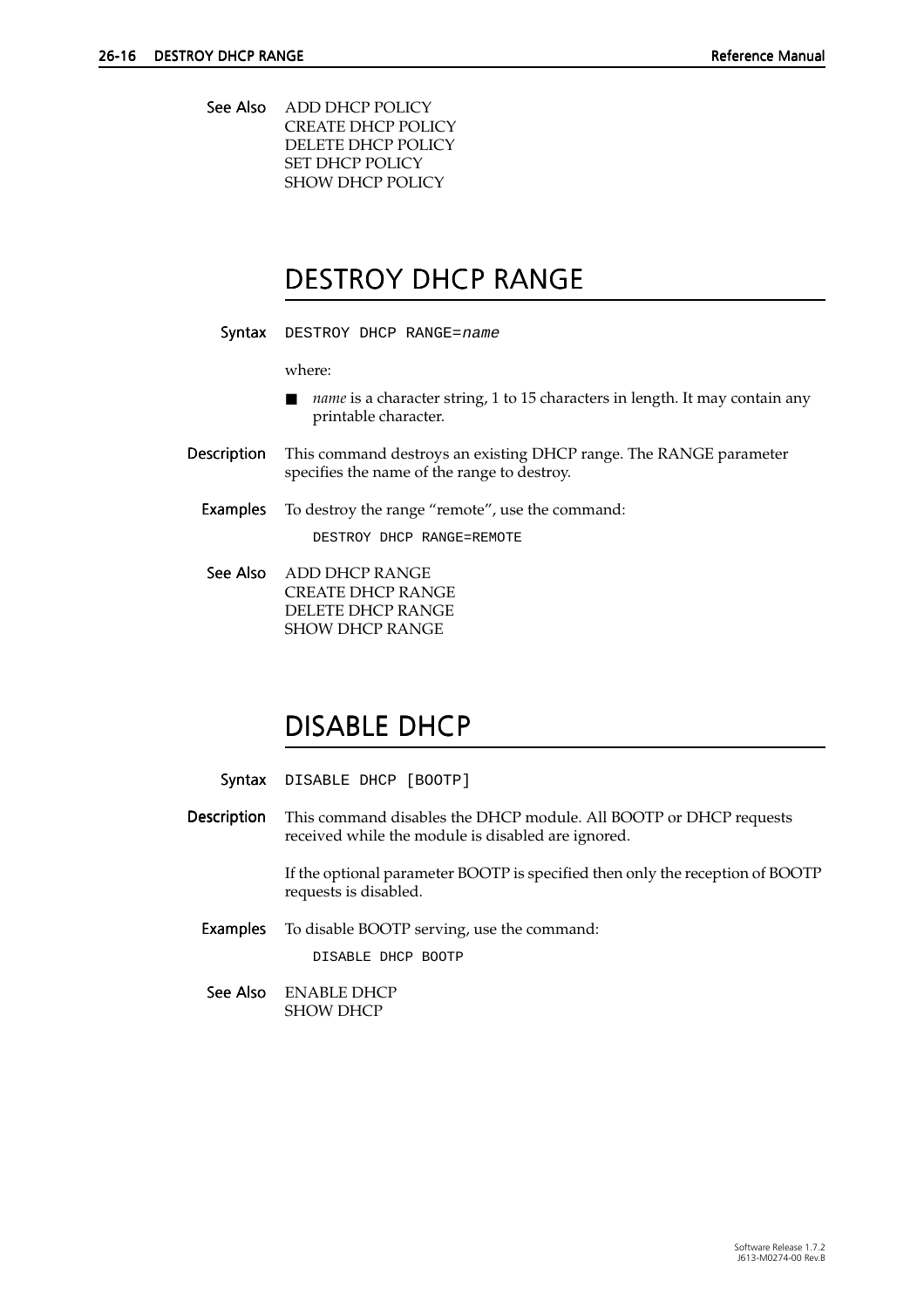<span id="page-15-0"></span>See Also ADD DHCP POLICY CREATE DHCP POLICY DELETE DHCP POLICY SET DHCP POLICY SHOW DHCP POLICY

### DESTROY DHCP RANGE

Syntax DESTROY DHCP RANGE=name

where:

- *name* is a character string, 1 to 15 characters in length. It may contain any printable character.
- Description This command destroys an existing DHCP range. The RANGE parameter specifies the name of the range to destroy.

**Examples** To destroy the range "remote", use the command:

DESTROY DHCP RANGE=REMOTE

See Also ADD DHCP RANGE CREATE DHCP RANGE DELETE DHCP RANGE SHOW DHCP RANGE

### DISABLE DHCP

Syntax DISABLE DHCP [BOOTP]

Description This command disables the DHCP module. All BOOTP or DHCP requests received while the module is disabled are ignored.

> If the optional parameter BOOTP is specified then only the reception of BOOTP requests is disabled.

Examples To disable BOOTP serving, use the command:

DISABLE DHCP BOOTP

See Also ENABLE DHCP SHOW DHCP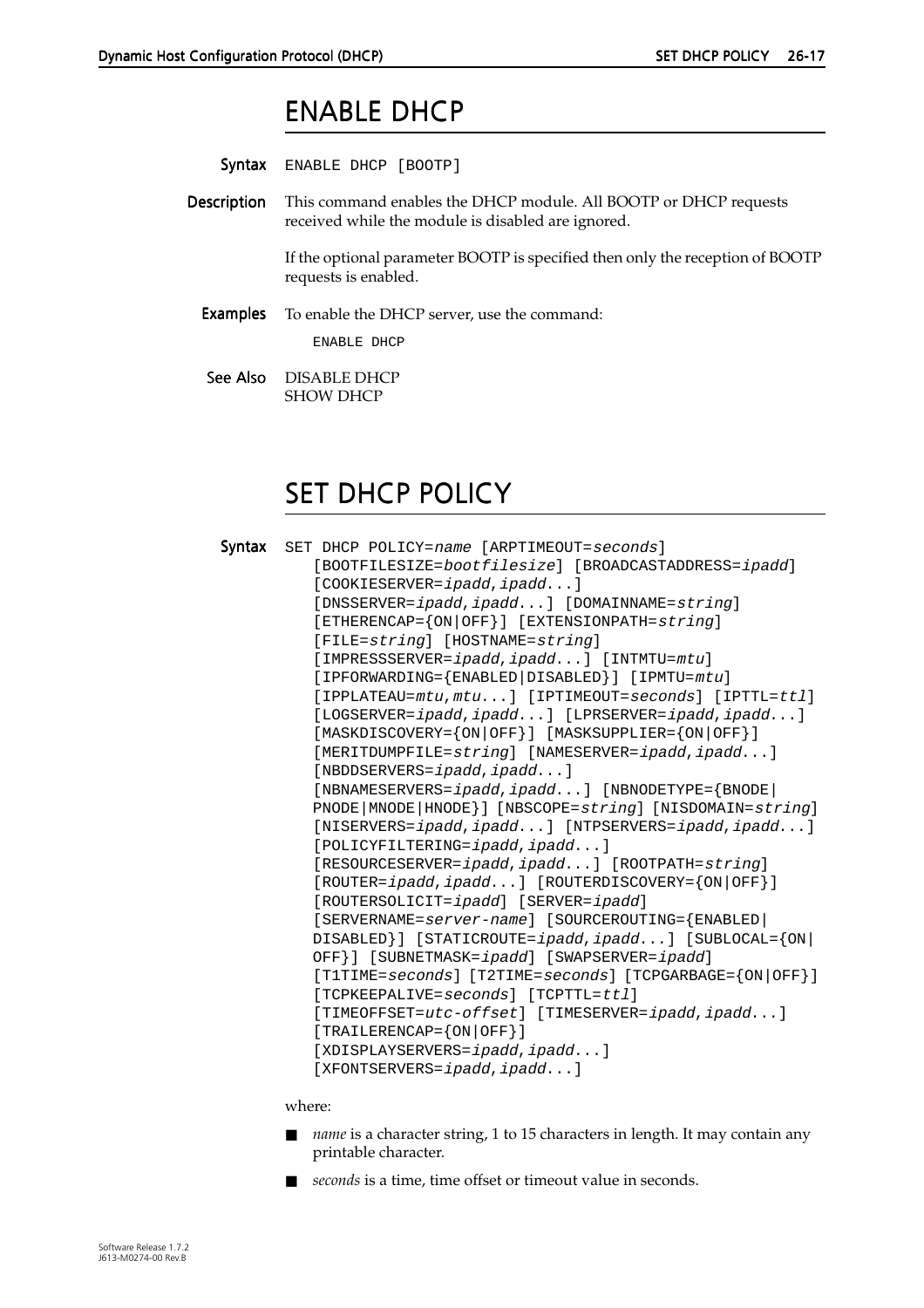### ENABLE DHCP

<span id="page-16-0"></span>Syntax ENABLE DHCP [BOOTP]

Description This command enables the DHCP module. All BOOTP or DHCP requests received while the module is disabled are ignored.

> If the optional parameter BOOTP is specified then only the reception of BOOTP requests is enabled.

Examples To enable the DHCP server, use the command: ENABLE DHCP

See Also DISABLE DHCP SHOW DHCP

### **SET DHCP POLICY**

|  | Syntax SET DHCP POLICY=name [ARPTIMEOUT=seconds]                                     |  |  |  |  |
|--|--------------------------------------------------------------------------------------|--|--|--|--|
|  | [BOOTFILESIZE=bootfilesize] [BROADCASTADDRESS=ipadd]                                 |  |  |  |  |
|  | $[COOKIESERVER = ipadd, ipadd]$                                                      |  |  |  |  |
|  | [DNSSERVER=ipadd,ipadd] [DOMAINNAME=string]                                          |  |  |  |  |
|  | [ETHERENCAP= $\{ON \mid OFF\}$ ] [EXTENSIONPATH= $string$ ]                          |  |  |  |  |
|  | [FILE=string] [HOSTNAME=string]                                                      |  |  |  |  |
|  | [IMPRESSSERVER=ipadd, ipadd] [INTMTU=mtu]                                            |  |  |  |  |
|  | [IPFORWARDING={ENABLED DISABLED}] [IPMTU=mtu]                                        |  |  |  |  |
|  | [IPPLATEAU=mtu, mtu] [IPTIMEOUT=seconds] [IPTTL=ttl]                                 |  |  |  |  |
|  | [LOGSERVER=ipadd,ipadd] [LPRSERVER=ipadd,ipadd]                                      |  |  |  |  |
|  | $[MASKDISCOVERY = \{ON \,   \, OFF \} ] \quad [MASKSUPPLIER = \{ON \,   \, OFF \} ]$ |  |  |  |  |
|  | [MERITDUMPFILE=string] [NAMESERVER=ipadd,ipadd]                                      |  |  |  |  |
|  | $[NBDDSERVERS = ipadd, ipadd]$                                                       |  |  |  |  |
|  | [NBNAMESERVERS=ipadd,ipadd] [NBNODETYPE={BNODE]                                      |  |  |  |  |
|  | PNODE   MNODE   HNODE } ] [NBSCOPE=string] [NISDOMAIN=string]                        |  |  |  |  |
|  | [NISERVERS=ipadd,ipadd] [NTPSERVERS=ipadd,ipadd]                                     |  |  |  |  |
|  | $[POLICYFILTERING = ipadd, ipadd]$                                                   |  |  |  |  |
|  | [RESOURCESERVER=ipadd, ipadd] [ROOTPATH=string]                                      |  |  |  |  |
|  | [ROUTER=ipadd,ipadd] [ROUTERDISCOVERY={ON OFF}]                                      |  |  |  |  |
|  | [ROUTERSOLICIT=ipadd] [SERVER=ipadd]                                                 |  |  |  |  |
|  | [SERVERNAME=server-name] [SOURCEROUTING={ENABLED]                                    |  |  |  |  |
|  | DISABLED}] [STATICROUTE=ipadd, ipadd] [SUBLOCAL={ON                                  |  |  |  |  |
|  | OFF}] [SUBNETMASK=ipadd] [SWAPSERVER=ipadd]                                          |  |  |  |  |
|  | [TITIME=seconds] [T2TIME=seconds] [TCPGARBAGE= $\{ON \mid OFF\}$ ]                   |  |  |  |  |
|  | [TCPKEEPALIVE=seconds] [TCPTTL=ttl]                                                  |  |  |  |  |
|  | [TIMEOFFSET=utc-offset] [TIMESERVER=ipadd,ipadd]                                     |  |  |  |  |
|  | $[TRAILERENCAP = \{ ON   OFF \}]$                                                    |  |  |  |  |
|  | [XDISPLAYSERVERS=ipadd,ipadd]                                                        |  |  |  |  |
|  | [XFONTSERVERS=ipadd, ipadd]                                                          |  |  |  |  |

where:

- *name* is a character string, 1 to 15 characters in length. It may contain any printable character.
- *seconds* is a time, time offset or timeout value in seconds.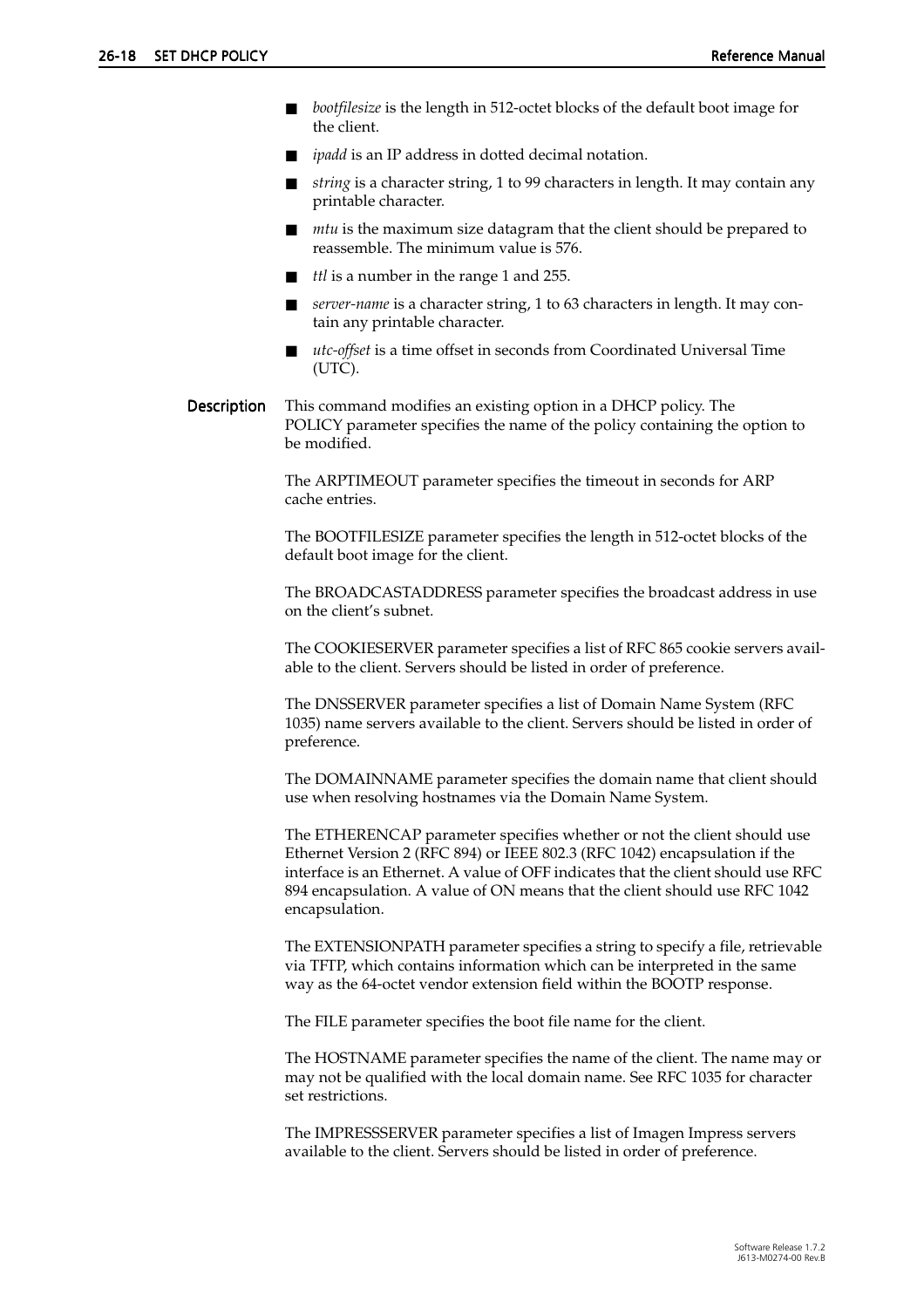- bootfilesize is the length in 512-octet blocks of the default boot image for the client.
- *ipadd* is an IP address in dotted decimal notation.
- string is a character string, 1 to 99 characters in length. It may contain any printable character.
- *mtu* is the maximum size datagram that the client should be prepared to reassemble. The minimum value is 576.
- *ttl* is a number in the range 1 and 255.
- server-name is a character string, 1 to 63 characters in length. It may contain any printable character.
- *utc-offset* is a time offset in seconds from Coordinated Universal Time (UTC).
- Description This command modifies an existing option in a DHCP policy. The POLICY parameter specifies the name of the policy containing the option to be modified.

The ARPTIMEOUT parameter specifies the timeout in seconds for ARP cache entries.

The BOOTFILESIZE parameter specifies the length in 512-octet blocks of the default boot image for the client.

The BROADCASTADDRESS parameter specifies the broadcast address in use on the client's subnet.

The COOKIESERVER parameter specifies a list of RFC 865 cookie servers available to the client. Servers should be listed in order of preference.

The DNSSERVER parameter specifies a list of Domain Name System (RFC 1035) name servers available to the client. Servers should be listed in order of preference.

The DOMAINNAME parameter specifies the domain name that client should use when resolving hostnames via the Domain Name System.

The ETHERENCAP parameter specifies whether or not the client should use Ethernet Version 2 (RFC 894) or IEEE 802.3 (RFC 1042) encapsulation if the interface is an Ethernet. A value of OFF indicates that the client should use RFC 894 encapsulation. A value of ON means that the client should use RFC 1042 encapsulation.

The EXTENSIONPATH parameter specifies a string to specify a file, retrievable via TFTP, which contains information which can be interpreted in the same way as the 64-octet vendor extension field within the BOOTP response.

The FILE parameter specifies the boot file name for the client.

The HOSTNAME parameter specifies the name of the client. The name may or may not be qualified with the local domain name. See RFC 1035 for character set restrictions.

The IMPRESSSERVER parameter specifies a list of Imagen Impress servers available to the client. Servers should be listed in order of preference.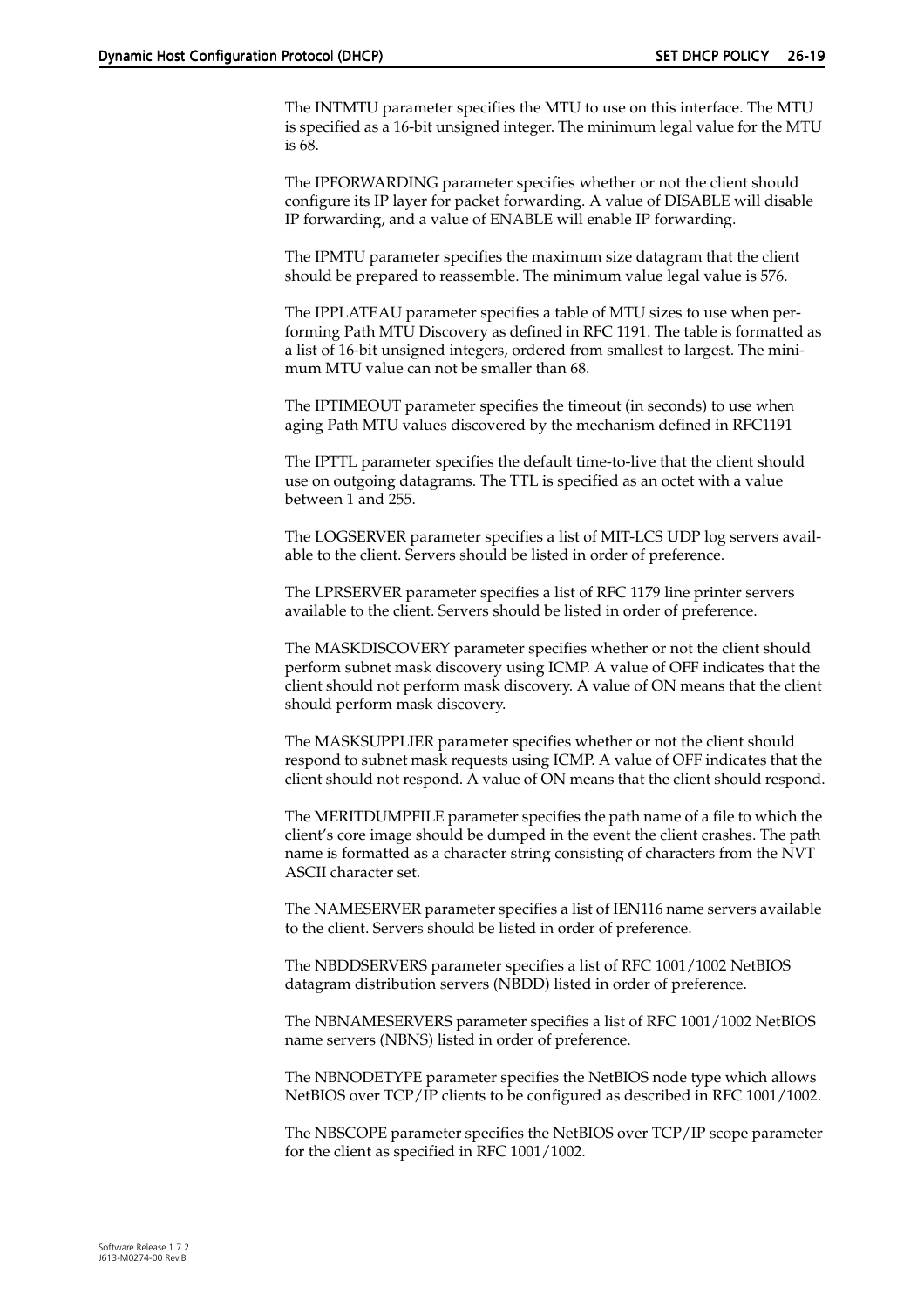The INTMTU parameter specifies the MTU to use on this interface. The MTU is specified as a 16-bit unsigned integer. The minimum legal value for the MTU is 68.

The IPFORWARDING parameter specifies whether or not the client should configure its IP layer for packet forwarding. A value of DISABLE will disable IP forwarding, and a value of ENABLE will enable IP forwarding.

The IPMTU parameter specifies the maximum size datagram that the client should be prepared to reassemble. The minimum value legal value is 576.

The IPPLATEAU parameter specifies a table of MTU sizes to use when performing Path MTU Discovery as defined in RFC 1191. The table is formatted as a list of 16-bit unsigned integers, ordered from smallest to largest. The minimum MTU value can not be smaller than 68.

The IPTIMEOUT parameter specifies the timeout (in seconds) to use when aging Path MTU values discovered by the mechanism defined in RFC1191

The IPTTL parameter specifies the default time-to-live that the client should use on outgoing datagrams. The TTL is specified as an octet with a value between 1 and 255.

The LOGSERVER parameter specifies a list of MIT-LCS UDP log servers available to the client. Servers should be listed in order of preference.

The LPRSERVER parameter specifies a list of RFC 1179 line printer servers available to the client. Servers should be listed in order of preference.

The MASKDISCOVERY parameter specifies whether or not the client should perform subnet mask discovery using ICMP. A value of OFF indicates that the client should not perform mask discovery. A value of ON means that the client should perform mask discovery.

The MASKSUPPLIER parameter specifies whether or not the client should respond to subnet mask requests using ICMP. A value of OFF indicates that the client should not respond. A value of ON means that the client should respond.

The MERITDUMPFILE parameter specifies the path name of a file to which the client's core image should be dumped in the event the client crashes. The path name is formatted as a character string consisting of characters from the NVT ASCII character set.

The NAMESERVER parameter specifies a list of IEN116 name servers available to the client. Servers should be listed in order of preference.

The NBDDSERVERS parameter specifies a list of RFC 1001/1002 NetBIOS datagram distribution servers (NBDD) listed in order of preference.

The NBNAMESERVERS parameter specifies a list of RFC 1001/1002 NetBIOS name servers (NBNS) listed in order of preference.

The NBNODETYPE parameter specifies the NetBIOS node type which allows NetBIOS over TCP/IP clients to be configured as described in RFC 1001/1002.

The NBSCOPE parameter specifies the NetBIOS over TCP/IP scope parameter for the client as specified in RFC 1001/1002.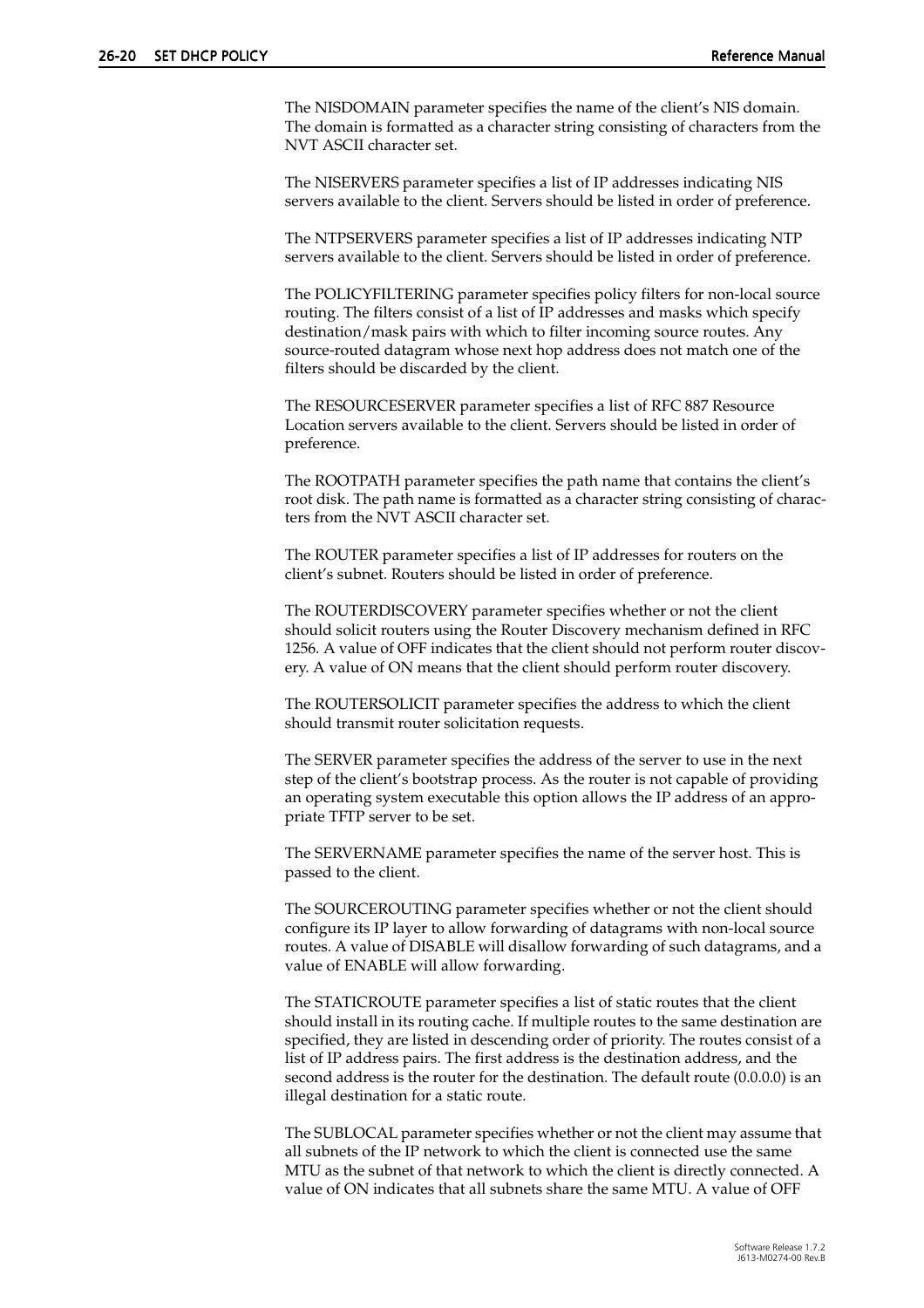The NISDOMAIN parameter specifies the name of the client's NIS domain. The domain is formatted as a character string consisting of characters from the NVT ASCII character set.

The NISERVERS parameter specifies a list of IP addresses indicating NIS servers available to the client. Servers should be listed in order of preference.

The NTPSERVERS parameter specifies a list of IP addresses indicating NTP servers available to the client. Servers should be listed in order of preference.

The POLICYFILTERING parameter specifies policy filters for non-local source routing. The filters consist of a list of IP addresses and masks which specify destination/mask pairs with which to filter incoming source routes. Any source-routed datagram whose next hop address does not match one of the filters should be discarded by the client.

The RESOURCESERVER parameter specifies a list of RFC 887 Resource Location servers available to the client. Servers should be listed in order of preference.

The ROOTPATH parameter specifies the path name that contains the client's root disk. The path name is formatted as a character string consisting of characters from the NVT ASCII character set.

The ROUTER parameter specifies a list of IP addresses for routers on the client's subnet. Routers should be listed in order of preference.

The ROUTERDISCOVERY parameter specifies whether or not the client should solicit routers using the Router Discovery mechanism defined in RFC 1256. A value of OFF indicates that the client should not perform router discovery. A value of ON means that the client should perform router discovery.

The ROUTERSOLICIT parameter specifies the address to which the client should transmit router solicitation requests.

The SERVER parameter specifies the address of the server to use in the next step of the client's bootstrap process. As the router is not capable of providing an operating system executable this option allows the IP address of an appropriate TFTP server to be set.

The SERVERNAME parameter specifies the name of the server host. This is passed to the client.

The SOURCEROUTING parameter specifies whether or not the client should configure its IP layer to allow forwarding of datagrams with non-local source routes. A value of DISABLE will disallow forwarding of such datagrams, and a value of ENABLE will allow forwarding.

The STATICROUTE parameter specifies a list of static routes that the client should install in its routing cache. If multiple routes to the same destination are specified, they are listed in descending order of priority. The routes consist of a list of IP address pairs. The first address is the destination address, and the second address is the router for the destination. The default route (0.0.0.0) is an illegal destination for a static route.

The SUBLOCAL parameter specifies whether or not the client may assume that all subnets of the IP network to which the client is connected use the same MTU as the subnet of that network to which the client is directly connected. A value of ON indicates that all subnets share the same MTU. A value of OFF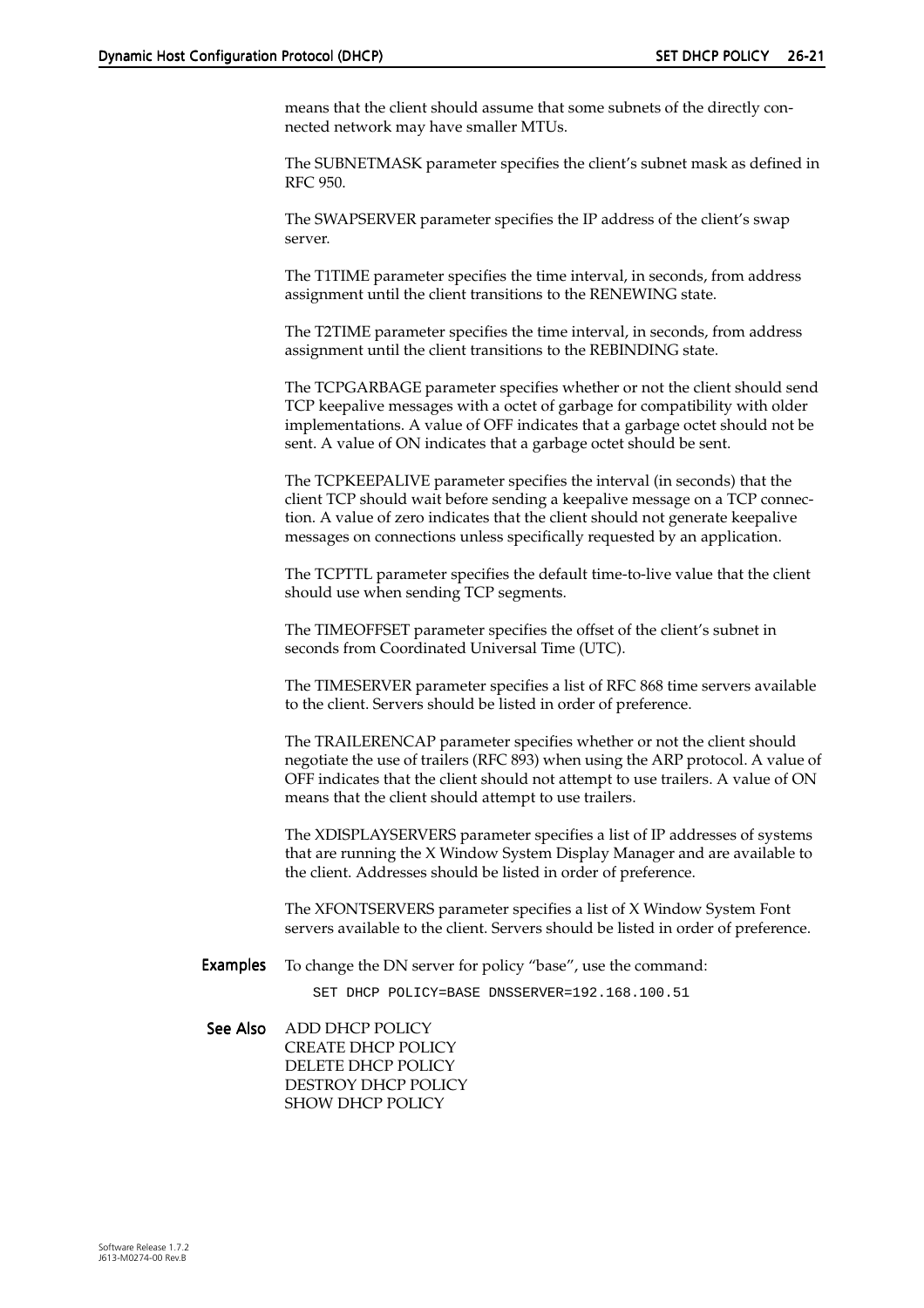means that the client should assume that some subnets of the directly connected network may have smaller MTUs.

The SUBNETMASK parameter specifies the client's subnet mask as defined in RFC 950.

The SWAPSERVER parameter specifies the IP address of the client's swap server.

The T1TIME parameter specifies the time interval, in seconds, from address assignment until the client transitions to the RENEWING state.

The T2TIME parameter specifies the time interval, in seconds, from address assignment until the client transitions to the REBINDING state.

The TCPGARBAGE parameter specifies whether or not the client should send TCP keepalive messages with a octet of garbage for compatibility with older implementations. A value of OFF indicates that a garbage octet should not be sent. A value of ON indicates that a garbage octet should be sent.

The TCPKEEPALIVE parameter specifies the interval (in seconds) that the client TCP should wait before sending a keepalive message on a TCP connection. A value of zero indicates that the client should not generate keepalive messages on connections unless specifically requested by an application.

The TCPTTL parameter specifies the default time-to-live value that the client should use when sending TCP segments.

The TIMEOFFSET parameter specifies the offset of the client's subnet in seconds from Coordinated Universal Time (UTC).

The TIMESERVER parameter specifies a list of RFC 868 time servers available to the client. Servers should be listed in order of preference.

The TRAILERENCAP parameter specifies whether or not the client should negotiate the use of trailers (RFC 893) when using the ARP protocol. A value of OFF indicates that the client should not attempt to use trailers. A value of ON means that the client should attempt to use trailers.

The XDISPLAYSERVERS parameter specifies a list of IP addresses of systems that are running the X Window System Display Manager and are available to the client. Addresses should be listed in order of preference.

The XFONTSERVERS parameter specifies a list of X Window System Font servers available to the client. Servers should be listed in order of preference.

**Examples** To change the DN server for policy "base", use the command:

SET DHCP POLICY=BASE DNSSERVER=192.168.100.51

See Also ADD DHCP POLICY CREATE DHCP POLICY DELETE DHCP POLICY DESTROY DHCP POLICY SHOW DHCP POLICY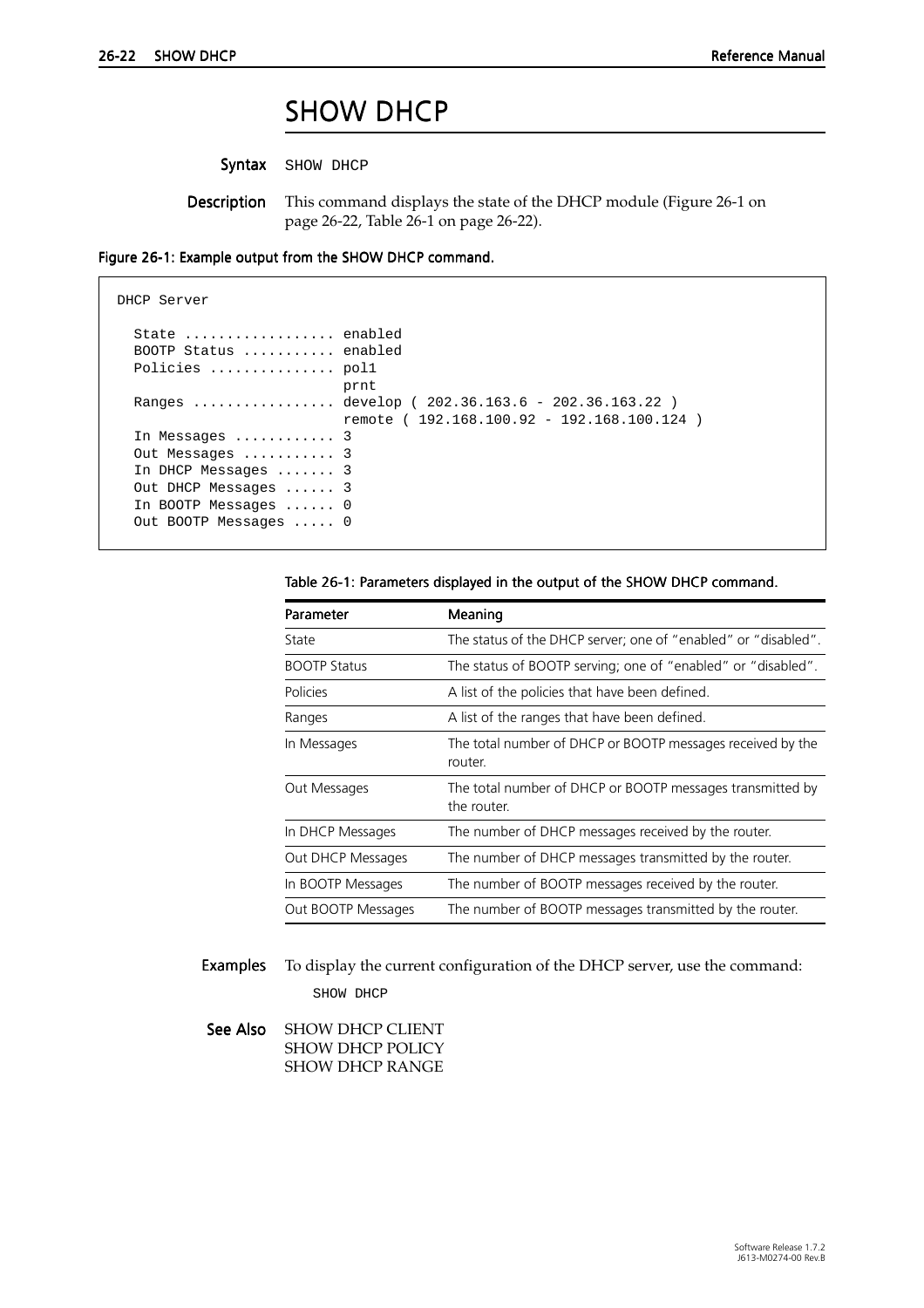### SHOW DHCP

Syntax SHOW DHCP

Description This command displays the state of the DHCP module (Figure 26-1 on page 26-22, Table 26-1 on page 26-22).

<span id="page-21-0"></span>Figure 26-1: Example output from the SHOW DHCP command.

```
DHCP Server
  State ................. enabled
   BOOTP Status ........... enabled
   Policies ............... pol1
                            prnt
   Ranges ................. develop ( 202.36.163.6 - 202.36.163.22 )
                            remote ( 192.168.100.92 - 192.168.100.124 )
   In Messages ............ 3
   Out Messages ........... 3
   In DHCP Messages ....... 3
   Out DHCP Messages ...... 3
   In BOOTP Messages ...... 0
   Out BOOTP Messages ..... 0
```

| Table 26-1: Parameters displayed in the output of the SHOW DHCP command. |  |  |  |  |  |
|--------------------------------------------------------------------------|--|--|--|--|--|
|--------------------------------------------------------------------------|--|--|--|--|--|

| Parameter           | Meaning                                                                  |
|---------------------|--------------------------------------------------------------------------|
| State               | The status of the DHCP server; one of "enabled" or "disabled".           |
| <b>BOOTP Status</b> | The status of BOOTP serving; one of "enabled" or "disabled".             |
| Policies            | A list of the policies that have been defined.                           |
| Ranges              | A list of the ranges that have been defined.                             |
| In Messages         | The total number of DHCP or BOOTP messages received by the<br>router.    |
| Out Messages        | The total number of DHCP or BOOTP messages transmitted by<br>the router. |
| In DHCP Messages    | The number of DHCP messages received by the router.                      |
| Out DHCP Messages   | The number of DHCP messages transmitted by the router.                   |
| In BOOTP Messages   | The number of BOOTP messages received by the router.                     |
| Out BOOTP Messages  | The number of BOOTP messages transmitted by the router.                  |

Examples To display the current configuration of the DHCP server, use the command: SHOW DHCP

See Also SHOW DHCP CLIENT SHOW DHCP POLICY SHOW DHCP RANGE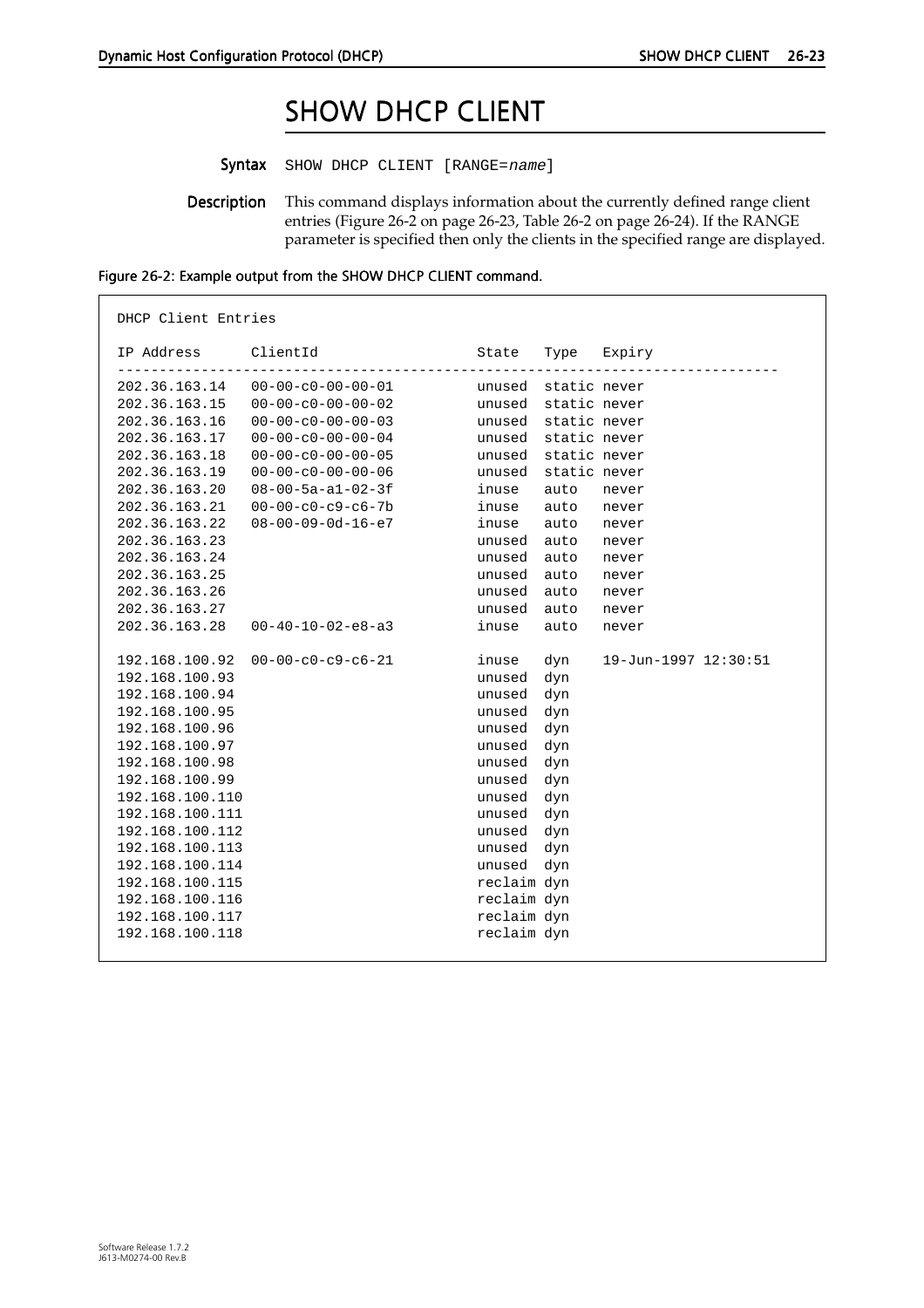# SHOW DHCP CLIENT

<span id="page-22-0"></span>Syntax SHOW DHCP CLIENT [RANGE=name]

Description This command displays information about the currently defined range client entries (Figure 26-2 on page 26-23[, Table 26-2 on page 26-2](#page-23-0)4). If the RANGE parameter is specified then only the clients in the specified range are displayed.

| IP Address      | ClientId                            | State               | Type         | Expiry               |
|-----------------|-------------------------------------|---------------------|--------------|----------------------|
|                 | 202.36.163.14   00-00-c0-00-00-01   | unused static never |              |                      |
|                 | $202.36.163.15$ $00-00-c0-00-00-02$ | unused static never |              |                      |
| 202.36.163.16   | $00 - 00 - c0 - 00 - 00 - 03$       | unused static never |              |                      |
| 202.36.163.17   | $00 - 00 - c0 - 00 - 00 - 04$       | unused static never |              |                      |
| 202.36.163.18   | $00 - 00 - c0 - 00 - 00 - 05$       | unused              | static never |                      |
| 202.36.163.19   | $00 - 00 - c0 - 00 - 00 - 06$       | unused              | static never |                      |
| 202.36.163.20   | $08 - 00 - 5a - a1 - 02 - 3f$       | inuse               | auto         | never                |
| 202.36.163.21   | $00 - 00 - c0 - c9 - c6 - 7b$       | inuse               | auto         | never                |
| 202.36.163.22   | $08 - 00 - 09 - 0d - 16 - e7$       | inuse               | auto         | never                |
| 202.36.163.23   |                                     | unused              | auto         | never                |
| 202.36.163.24   |                                     | unused              | auto         | never                |
| 202.36.163.25   |                                     | unused              | auto         | never                |
| 202.36.163.26   |                                     | unused              | auto         | never                |
| 202.36.163.27   |                                     | unused              | auto         | never                |
| 202.36.163.28   | $00 - 40 - 10 - 02 - e8 - a3$       | inuse               | auto         | never                |
| 192.168.100.92  | $00-00-c0-c9-c6-21$                 | inuse               | dyn          | 19-Jun-1997 12:30:51 |
| 192.168.100.93  |                                     | unused dyn          |              |                      |
| 192.168.100.94  |                                     | unused dyn          |              |                      |
| 192.168.100.95  |                                     | unused dyn          |              |                      |
| 192.168.100.96  |                                     | unused dyn          |              |                      |
| 192.168.100.97  |                                     | unused dyn          |              |                      |
| 192.168.100.98  |                                     | unused dyn          |              |                      |
| 192.168.100.99  |                                     | unused dyn          |              |                      |
| 192.168.100.110 |                                     | unused dyn          |              |                      |
| 192.168.100.111 |                                     | unused dyn          |              |                      |
| 192.168.100.112 |                                     | unused dyn          |              |                      |
| 192.168.100.113 |                                     | unused dyn          |              |                      |
| 192.168.100.114 |                                     | unused dyn          |              |                      |
| 192.168.100.115 |                                     | reclaim dyn         |              |                      |
| 192.168.100.116 |                                     | reclaim dyn         |              |                      |
| 192.168.100.117 |                                     | reclaim dyn         |              |                      |
| 192.168.100.118 |                                     | reclaim dyn         |              |                      |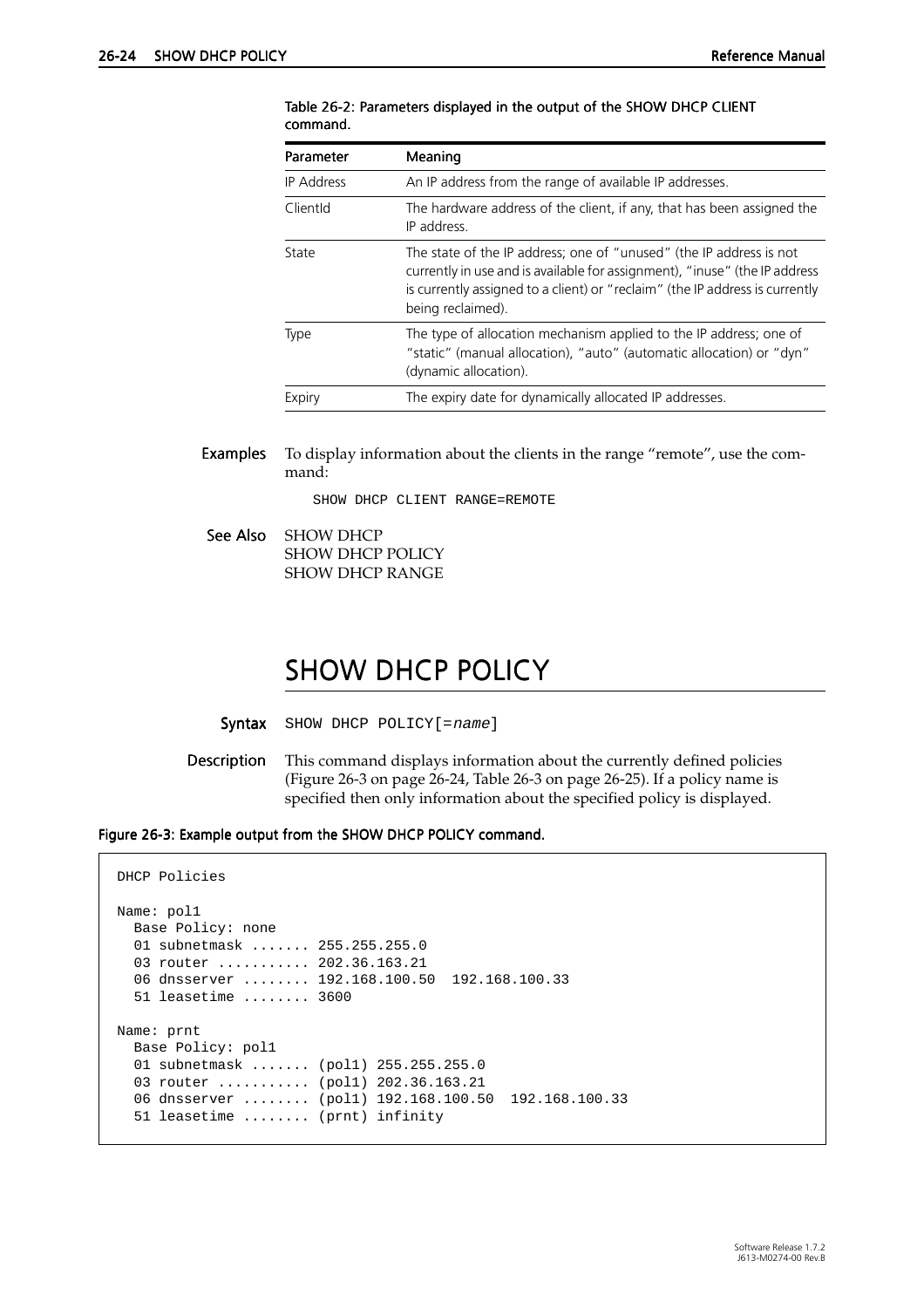| Parameter         | Meaning                                                                                                                                                                                                                                                |  |  |  |
|-------------------|--------------------------------------------------------------------------------------------------------------------------------------------------------------------------------------------------------------------------------------------------------|--|--|--|
| <b>IP Address</b> | An IP address from the range of available IP addresses.                                                                                                                                                                                                |  |  |  |
| ClientId          | The hardware address of the client, if any, that has been assigned the<br>IP address.                                                                                                                                                                  |  |  |  |
| State             | The state of the IP address; one of "unused" (the IP address is not<br>currently in use and is available for assignment), "inuse" (the IP address<br>is currently assigned to a client) or "reclaim" (the IP address is currently<br>being reclaimed). |  |  |  |
| Type              | The type of allocation mechanism applied to the IP address; one of<br>"static" (manual allocation), "auto" (automatic allocation) or "dyn"<br>(dynamic allocation).                                                                                    |  |  |  |
| Expiry            | The expiry date for dynamically allocated IP addresses.                                                                                                                                                                                                |  |  |  |

<span id="page-23-0"></span>Table 26-2: Parameters displayed in the output of the SHOW DHCP CLIENT command.

Examples To display information about the clients in the range "remote", use the command:

SHOW DHCP CLIENT RANGE=REMOTE

See Also SHOW DHCP SHOW DHCP POLICY SHOW DHCP RANGE

### SHOW DHCP POLICY

Syntax SHOW DHCP POLICY [=name]

Description This command displays information about the currently defined policies (Figure 26-3 on page 26-24, [Table 26-3 on page 26-25](#page-24-0)). If a policy name is specified then only information about the specified policy is displayed.

Figure 26-3: Example output from the SHOW DHCP POLICY command.

```
DHCP Policies
Name: pol1
  Base Policy: none
   01 subnetmask ....... 255.255.255.0
  03 router ........... 202.36.163.21
   06 dnsserver ........ 192.168.100.50 192.168.100.33 
   51 leasetime ........ 3600
Name: prnt
  Base Policy: pol1
  01 subnetmask ....... (pol1) 255.255.255.0
  03 router .......... (poll) 202.36.163.21
   06 dnsserver ........ (pol1) 192.168.100.50 192.168.100.33 
   51 leasetime ........ (prnt) infinity
```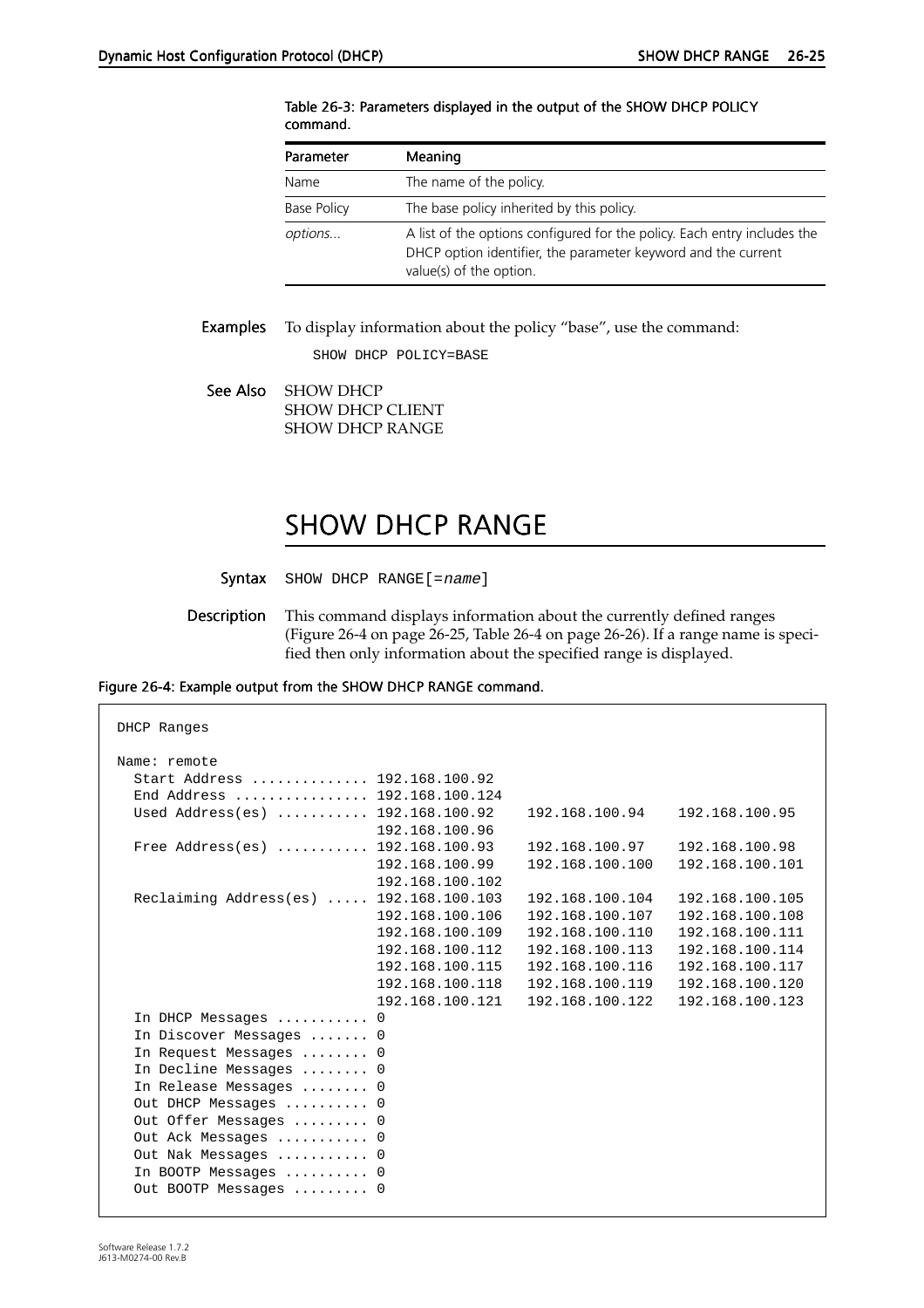| Parameter          | Meaning                                                                                                                                                              |
|--------------------|----------------------------------------------------------------------------------------------------------------------------------------------------------------------|
| Name               | The name of the policy.                                                                                                                                              |
| <b>Base Policy</b> | The base policy inherited by this policy.                                                                                                                            |
| options            | A list of the options configured for the policy. Each entry includes the<br>DHCP option identifier, the parameter keyword and the current<br>value(s) of the option. |

#### <span id="page-24-0"></span>Table 26-3: Parameters displayed in the output of the SHOW DHCP POLICY command.

Examples To display information about the policy "base", use the command:

SHOW DHCP POLICY=BASE

See Also SHOW DHCP SHOW DHCP CLIENT SHOW DHCP RANGE

# SHOW DHCP RANGE

- Syntax SHOW DHCP RANGE [=name]
- Description This command displays information about the currently defined ranges (Figure 26-4 on page 26-25[, Table 26-4 on page 26-2](#page-25-0)6). If a range name is specified then only information about the specified range is displayed.

### Figure 26-4: Example output from the SHOW DHCP RANGE command.

| DHCP Ranges                             |                 |                 |                 |  |  |  |
|-----------------------------------------|-----------------|-----------------|-----------------|--|--|--|
| Name: remote                            |                 |                 |                 |  |  |  |
| Start Address  192.168.100.92           |                 |                 |                 |  |  |  |
| End Address  192.168.100.124            |                 |                 |                 |  |  |  |
| Used Address(es)  192.168.100.92        |                 | 192.168.100.94  | 192.168.100.95  |  |  |  |
|                                         | 192.168.100.96  |                 |                 |  |  |  |
| Free Address(es)  192.168.100.93        |                 | 192.168.100.97  | 192.168.100.98  |  |  |  |
|                                         | 192.168.100.99  | 192.168.100.100 | 192.168.100.101 |  |  |  |
|                                         | 192.168.100.102 |                 |                 |  |  |  |
| Reclaiming Address(es)  192.168.100.103 |                 | 192.168.100.104 | 192.168.100.105 |  |  |  |
|                                         | 192.168.100.106 | 192.168.100.107 | 192.168.100.108 |  |  |  |
|                                         | 192.168.100.109 | 192.168.100.110 | 192.168.100.111 |  |  |  |
|                                         | 192.168.100.112 | 192.168.100.113 | 192.168.100.114 |  |  |  |
|                                         | 192.168.100.115 | 192.168.100.116 | 192.168.100.117 |  |  |  |
|                                         | 192.168.100.118 | 192.168.100.119 | 192.168.100.120 |  |  |  |
|                                         | 192.168.100.121 | 192.168.100.122 | 192.168.100.123 |  |  |  |
| In DHCP Messages  0                     |                 |                 |                 |  |  |  |
| In Discover Messages  0                 |                 |                 |                 |  |  |  |
| In Request Messages  0                  |                 |                 |                 |  |  |  |
| In Decline Messages  0                  |                 |                 |                 |  |  |  |
| In Release Messages  0                  |                 |                 |                 |  |  |  |
| Out DHCP Messages  0                    |                 |                 |                 |  |  |  |
| Out Offer Messages  0                   |                 |                 |                 |  |  |  |
| Out Ack Messages  0                     |                 |                 |                 |  |  |  |
| Out Nak Messages  0                     |                 |                 |                 |  |  |  |
| In BOOTP Messages  0                    |                 |                 |                 |  |  |  |
| Out BOOTP Messages  0                   |                 |                 |                 |  |  |  |
|                                         |                 |                 |                 |  |  |  |